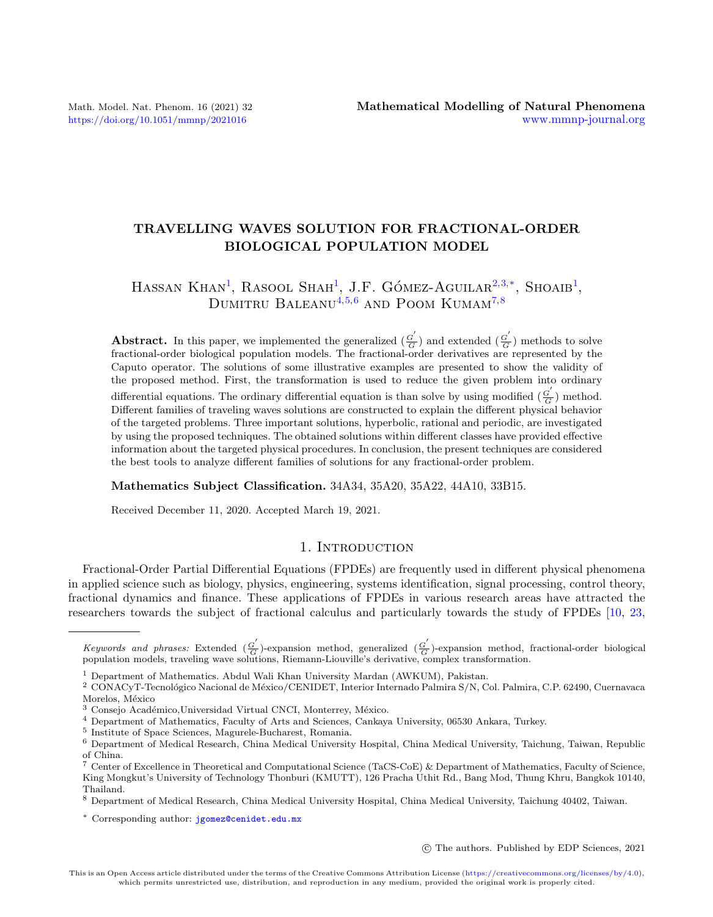# TRAVELLING WAVES SOLUTION FOR FRACTIONAL-ORDER BIOLOGICAL POPULATION MODEL

# HASSAN KHAN<sup>[1](#page-0-0)</sup>, RASOOL SHAH<sup>1</sup>, J.F. GÓMEZ-AGUILAR<sup>[2,](#page-0-1)[3,](#page-0-2)[\\*](#page-0-3)</sup>, SHOAIB<sup>1</sup>, DUMITRU BALEANU<sup>[4,](#page-0-4)[5,](#page-0-5)[6](#page-0-6)</sup> AND POOM KUMAM<sup>[7,](#page-0-7)[8](#page-0-8)</sup>

**Abstract.** In this paper, we implemented the generalized  $\left(\frac{G}{G}\right)$  $\frac{G^{'}}{G}$ ) and extended ( $\frac{G^{'}}{G}$  $\frac{G}{G}$ ) methods to solve fractional-order biological population models. The fractional-order derivatives are represented by the Caputo operator. The solutions of some illustrative examples are presented to show the validity of the proposed method. First, the transformation is used to reduce the given problem into ordinary differential equations. The ordinary differential equation is than solve by using modified  $(\frac{G}{G})$  $\frac{G}{G}$ ) method. Different families of traveling waves solutions are constructed to explain the different physical behavior of the targeted problems. Three important solutions, hyperbolic, rational and periodic, are investigated by using the proposed techniques. The obtained solutions within different classes have provided effective information about the targeted physical procedures. In conclusion, the present techniques are considered the best tools to analyze different families of solutions for any fractional-order problem.

Mathematics Subject Classification. 34A34, 35A20, 35A22, 44A10, 33B15.

Received December 11, 2020. Accepted March 19, 2021.

# 1. INTRODUCTION

Fractional-Order Partial Differential Equations (FPDEs) are frequently used in different physical phenomena in applied science such as biology, physics, engineering, systems identification, signal processing, control theory, fractional dynamics and finance. These applications of FPDEs in various research areas have attracted the researchers towards the subject of fractional calculus and particularly towards the study of FPDEs [\[10,](#page-22-0) [23,](#page-22-1)

c The authors. Published by EDP Sciences, 2021

<span id="page-0-3"></span>Keywords and phrases: Extended  $\left(\frac{G}{G}\right)$  $\frac{G'}{G}$ )-expansion method, generalized ( $\frac{G'}{G}$  $\frac{G}{G}$ )-expansion method, fractional-order biological population models, traveling wave solutions, Riemann-Liouville's derivative, complex transformation.

<span id="page-0-0"></span><sup>1</sup> Department of Mathematics. Abdul Wali Khan University Mardan (AWKUM), Pakistan.

<span id="page-0-1"></span><sup>&</sup>lt;sup>2</sup> CONACyT-Tecnológico Nacional de México/CENIDET, Interior Internado Palmira S/N, Col. Palmira, C.P. 62490, Cuernavaca Morelos, México

<span id="page-0-2"></span> $3$  Consejo Académico, Universidad Virtual CNCI, Monterrey, México.

<span id="page-0-4"></span><sup>4</sup> Department of Mathematics, Faculty of Arts and Sciences, Cankaya University, 06530 Ankara, Turkey.

<span id="page-0-5"></span><sup>5</sup> Institute of Space Sciences, Magurele-Bucharest, Romania.

<span id="page-0-6"></span><sup>6</sup> Department of Medical Research, China Medical University Hospital, China Medical University, Taichung, Taiwan, Republic of China.

<span id="page-0-7"></span><sup>7</sup> Center of Excellence in Theoretical and Computational Science (TaCS-CoE) & Department of Mathematics, Faculty of Science, King Mongkut's University of Technology Thonburi (KMUTT), 126 Pracha Uthit Rd., Bang Mod, Thung Khru, Bangkok 10140, Thailand.

<span id="page-0-8"></span><sup>8</sup> Department of Medical Research, China Medical University Hospital, China Medical University, Taichung 40402, Taiwan.

<sup>\*</sup> Corresponding author: [jgomez@cenidet.edu.mx](mailto:jgomez@cenidet.edu.mx)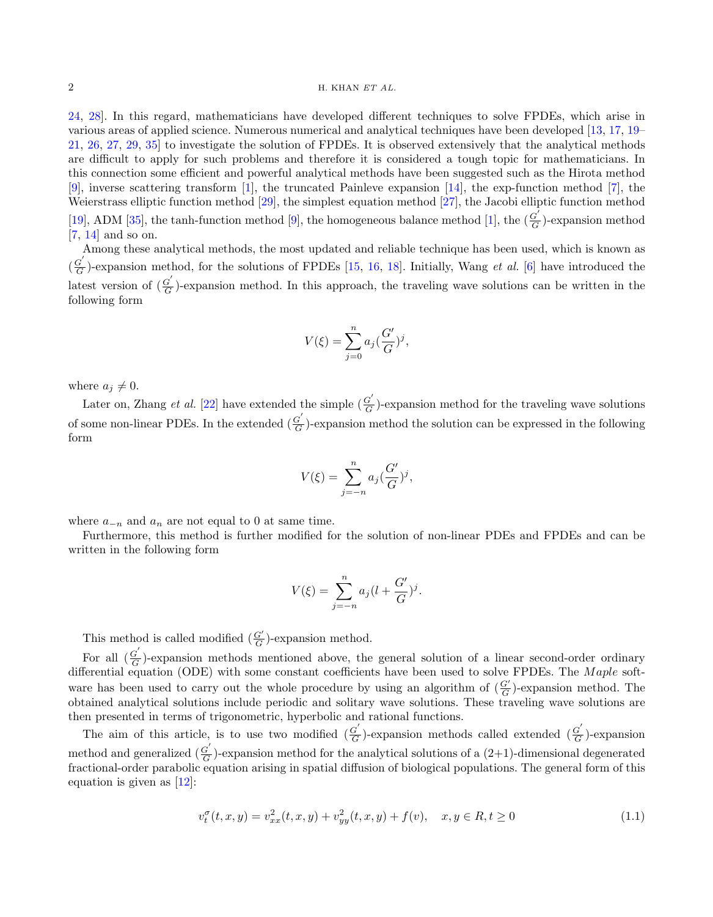[24,](#page-22-2) [28\]](#page-22-3). In this regard, mathematicians have developed different techniques to solve FPDEs, which arise in various areas of applied science. Numerous numerical and analytical techniques have been developed [\[13,](#page-22-4) [17,](#page-22-5) [19–](#page-22-6) [21,](#page-22-7) [26,](#page-22-8) [27,](#page-22-9) [29,](#page-22-10) [35\]](#page-23-0) to investigate the solution of FPDEs. It is observed extensively that the analytical methods are difficult to apply for such problems and therefore it is considered a tough topic for mathematicians. In this connection some efficient and powerful analytical methods have been suggested such as the Hirota method [\[9\]](#page-22-11), inverse scattering transform [\[1\]](#page-22-12), the truncated Painleve expansion [\[14\]](#page-22-13), the exp-function method [\[7\]](#page-22-14), the Weierstrass elliptic function method [\[29\]](#page-22-10), the simplest equation method [\[27\]](#page-22-9), the Jacobi elliptic function method [\[19\]](#page-22-6), ADM [\[35\]](#page-23-0), the tanh-function method [\[9\]](#page-22-11), the homogeneous balance method [\[1\]](#page-22-12), the  $(\frac{G'}{G})$  $\frac{G}{G}$ )-expansion method [\[7,](#page-22-14) [14\]](#page-22-13) and so on.

Among these analytical methods, the most updated and reliable technique has been used, which is known as  $\left(\frac{G}{G}\right)$  $\frac{G}{G}$ )-expansion method, for the solutions of FPDEs [\[15,](#page-22-15) [16,](#page-22-16) [18\]](#page-22-17). Initially, Wang *et al.* [\[6\]](#page-22-18) have introduced the latest version of  $\left(\frac{G'}{G}\right)$  $\frac{G}{G}$ )-expansion method. In this approach, the traveling wave solutions can be written in the following form

$$
V(\xi) = \sum_{j=0}^{n} a_j \left(\frac{G'}{G}\right)^j,
$$

where  $a_j \neq 0$ .

Later on, Zhang *et al.* [\[22\]](#page-22-19) have extended the simple  $\left(\frac{G}{G}\right)$  $\frac{G}{G}$ )-expansion method for the traveling wave solutions of some non-linear PDEs. In the extended  $\left(\frac{G}{G}\right)$  $\frac{G}{G}$ )-expansion method the solution can be expressed in the following form

$$
V(\xi) = \sum_{j=-n}^{n} a_j \left(\frac{G'}{G}\right)^j,
$$

where  $a_{-n}$  and  $a_n$  are not equal to 0 at same time.

Furthermore, this method is further modified for the solution of non-linear PDEs and FPDEs and can be written in the following form

$$
V(\xi) = \sum_{j=-n}^{n} a_j (l + \frac{G'}{G})^j.
$$

This method is called modified  $(\frac{G'}{G})$ -expansion method.

For all  $\left(\frac{G}{G}\right)$  $\frac{G}{G}$ )-expansion methods mentioned above, the general solution of a linear second-order ordinary differential equation (ODE) with some constant coefficients have been used to solve FPDEs. The Maple software has been used to carry out the whole procedure by using an algorithm of  $(\frac{G'}{G})$ -expansion method. The obtained analytical solutions include periodic and solitary wave solutions. These traveling wave solutions are then presented in terms of trigonometric, hyperbolic and rational functions.

<span id="page-1-0"></span>The aim of this article, is to use two modified  $\left(\frac{G}{G}\right)$  $\frac{G'}{G}$ )-expansion methods called extended ( $\frac{G'}{G}$  $\frac{G}{G}$ )-expansion method and generalized  $\left(\frac{G}{G}\right)$  $\frac{G}{G}$ )-expansion method for the analytical solutions of a  $(2+1)$ -dimensional degenerated fractional-order parabolic equation arising in spatial diffusion of biological populations. The general form of this equation is given as [\[12\]](#page-22-20):

$$
v_t^{\sigma}(t, x, y) = v_{xx}^2(t, x, y) + v_{yy}^2(t, x, y) + f(v), \quad x, y \in R, t \ge 0
$$
\n(1.1)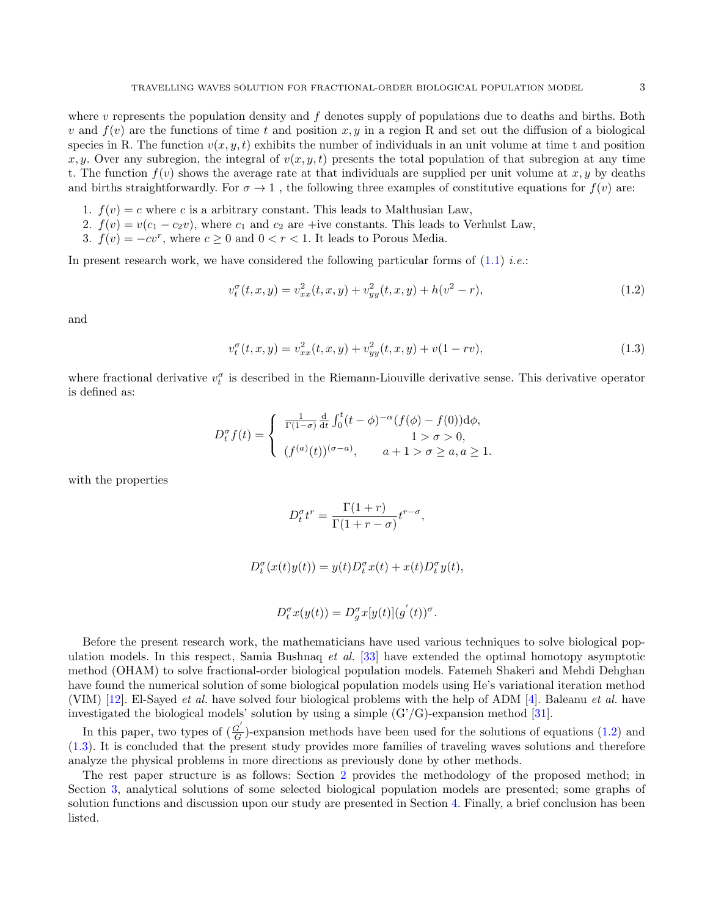where  $v$  represents the population density and  $f$  denotes supply of populations due to deaths and births. Both v and  $f(v)$  are the functions of time t and position x, y in a region R and set out the diffusion of a biological species in R. The function  $v(x, y, t)$  exhibits the number of individuals in an unit volume at time t and position x, y. Over any subregion, the integral of  $v(x, y, t)$  presents the total population of that subregion at any time t. The function  $f(v)$  shows the average rate at that individuals are supplied per unit volume at  $x, y$  by deaths and births straightforwardly. For  $\sigma \to 1$ , the following three examples of constitutive equations for  $f(v)$  are:

- 1.  $f(v) = c$  where c is a arbitrary constant. This leads to Malthusian Law,
- 2.  $f(v) = v(c_1 c_2v)$ , where  $c_1$  and  $c_2$  are +ive constants. This leads to Verhulst Law,
- 3.  $f(v) = -cv^r$ , where  $c \ge 0$  and  $0 < r < 1$ . It leads to Porous Media.

In present research work, we have considered the following particular forms of  $(1.1)$  *i.e.*:

<span id="page-2-0"></span>
$$
v_t^{\sigma}(t, x, y) = v_{xx}^2(t, x, y) + v_{yy}^2(t, x, y) + h(v^2 - r),
$$
\n(1.2)

and

<span id="page-2-1"></span>
$$
v_t^{\sigma}(t, x, y) = v_{xx}^2(t, x, y) + v_{yy}^2(t, x, y) + v(1 - rv),
$$
\n(1.3)

where fractional derivative  $v_t^{\sigma}$  is described in the Riemann-Liouville derivative sense. This derivative operator is defined as:

$$
D_t^{\sigma} f(t) = \begin{cases} \frac{1}{\Gamma(1-\sigma)} \frac{d}{dt} \int_0^t (t-\phi)^{-\alpha} (f(\phi) - f(0)) d\phi, \\ 1 > \sigma > 0, \\ (f^{(a)}(t))^{(\sigma-a)}, \quad a+1 > \sigma \ge a, a \ge 1. \end{cases}
$$

with the properties

$$
D_t^{\sigma} t^r = \frac{\Gamma(1+r)}{\Gamma(1+r-\sigma)} t^{r-\sigma},
$$

$$
D_t^{\sigma}(x(t)y(t)) = y(t)D_t^{\sigma}x(t) + x(t)D_t^{\sigma}y(t),
$$

$$
D_t^{\sigma}x(y(t)) = D_g^{\sigma}x[y(t)](g^{'}(t))^{\sigma}.
$$

Before the present research work, the mathematicians have used various techniques to solve biological population models. In this respect, Samia Bushnaq et al. [\[33\]](#page-23-1) have extended the optimal homotopy asymptotic method (OHAM) to solve fractional-order biological population models. Fatemeh Shakeri and Mehdi Dehghan have found the numerical solution of some biological population models using He's variational iteration method (VIM) [\[12\]](#page-22-20). El-Sayed et al. have solved four biological problems with the help of ADM [\[4\]](#page-22-21). Baleanu et al. have investigated the biological models' solution by using a simple  $(G'/G)$ -expansion method [\[31\]](#page-22-22).

In this paper, two types of  $\left(\frac{G'}{G}\right)$  $\frac{G}{G}$ )-expansion methods have been used for the solutions of equations [\(1.2\)](#page-2-0) and [\(1.3\)](#page-2-1). It is concluded that the present study provides more families of traveling waves solutions and therefore analyze the physical problems in more directions as previously done by other methods.

The rest paper structure is as follows: Section [2](#page-3-0) provides the methodology of the proposed method; in Section [3,](#page-4-0) analytical solutions of some selected biological population models are presented; some graphs of solution functions and discussion upon our study are presented in Section [4.](#page-19-0) Finally, a brief conclusion has been listed.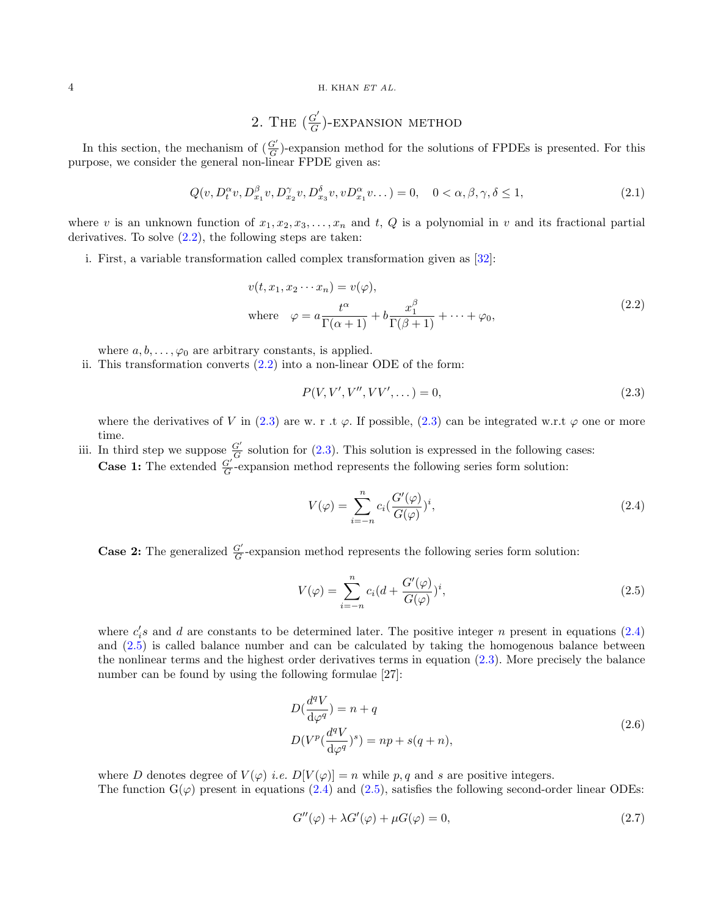## <span id="page-3-0"></span>4 H. KHAN ET AL.

# 2. THE  $\left(\frac{G'}{G}\right)$  $\frac{G'}{G}$ )-EXPANSION METHOD

In this section, the mechanism of  $(\frac{G'}{G})$ -expansion method for the solutions of FPDEs is presented. For this purpose, we consider the general non-linear FPDE given as:

$$
Q(v, D_t^{\alpha}v, D_{x_1}^{\beta}v, D_{x_2}^{\gamma}v, D_{x_3}^{\delta}v, v D_{x_1}^{\alpha}v...)=0, \quad 0 < \alpha, \beta, \gamma, \delta \le 1,
$$
\n(2.1)

where v is an unknown function of  $x_1, x_2, x_3, \ldots, x_n$  and t, Q is a polynomial in v and its fractional partial derivatives. To solve  $(2.2)$ , the following steps are taken:

<span id="page-3-1"></span>i. First, a variable transformation called complex transformation given as [\[32\]](#page-22-23):

$$
v(t, x_1, x_2 \cdots x_n) = v(\varphi),
$$
  
where 
$$
\varphi = a \frac{t^{\alpha}}{\Gamma(\alpha + 1)} + b \frac{x_1^{\beta}}{\Gamma(\beta + 1)} + \cdots + \varphi_0,
$$
 (2.2)

where  $a, b, \ldots, \varphi_0$  are arbitrary constants, is applied.

ii. This transformation converts  $(2.2)$  into a non-linear ODE of the form:

<span id="page-3-2"></span>
$$
P(V, V', V'', VV', \dots) = 0,\t\t(2.3)
$$

where the derivatives of V in [\(2.3\)](#page-3-2) are w. r .t  $\varphi$ . If possible, (2.3) can be integrated w.r.t  $\varphi$  one or more time.

iii. In third step we suppose  $\frac{G'}{G}$  solution for [\(2.3\)](#page-3-2). This solution is expressed in the following cases: **Case 1:** The extended  $\frac{G'}{G}$ -expansion method represents the following series form solution:

<span id="page-3-3"></span>
$$
V(\varphi) = \sum_{i=-n}^{n} c_i \left(\frac{G'(\varphi)}{G(\varphi)}\right)^i, \tag{2.4}
$$

**Case 2:** The generalized  $\frac{G'}{G}$ -expansion method represents the following series form solution:

<span id="page-3-4"></span>
$$
V(\varphi) = \sum_{i=-n}^{n} c_i (d + \frac{G'(\varphi)}{G(\varphi)})^i,
$$
\n(2.5)

where  $c_i$ 's and d are constants to be determined later. The positive integer n present in equations  $(2.4)$ and [\(2.5\)](#page-3-4) is called balance number and can be calculated by taking the homogenous balance between the nonlinear terms and the highest order derivatives terms in equation [\(2.3\)](#page-3-2). More precisely the balance number can be found by using the following formulae [27]:

$$
D\left(\frac{d^qV}{d\varphi^q}\right) = n + q
$$
  
\n
$$
D(V^p\left(\frac{d^qV}{d\varphi^q}\right)^s) = np + s(q+n),
$$
\n(2.6)

<span id="page-3-6"></span>where D denotes degree of  $V(\varphi)$  *i.e.*  $D[V(\varphi)] = n$  while p, q and s are positive integers.

The function  $G(\varphi)$  present in equations [\(2.4\)](#page-3-3) and [\(2.5\)](#page-3-4), satisfies the following second-order linear ODEs:

<span id="page-3-5"></span>
$$
G''(\varphi) + \lambda G'(\varphi) + \mu G(\varphi) = 0,
$$
\n(2.7)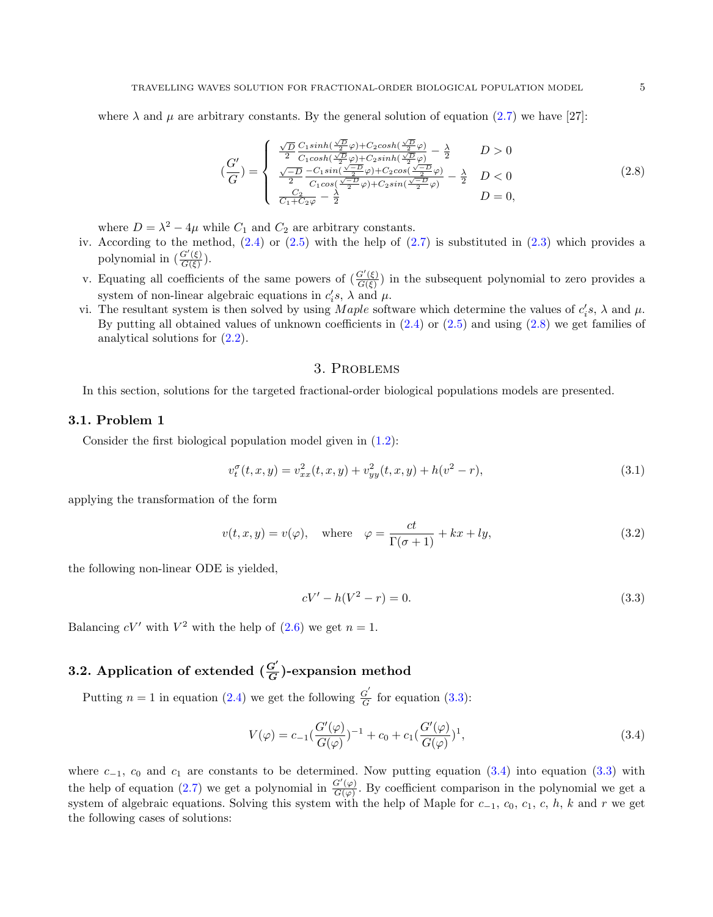where  $\lambda$  and  $\mu$  are arbitrary constants. By the general solution of equation [\(2.7\)](#page-3-5) we have [27]:

<span id="page-4-1"></span>
$$
\left(\frac{G'}{G}\right) = \begin{cases}\n\frac{\sqrt{D}}{2} \frac{C_1 \sinh\left(\frac{\sqrt{D}}{2}\varphi\right) + C_2 \cosh\left(\frac{\sqrt{D}}{2}\varphi\right)}{C_1 \cosh\left(\frac{\sqrt{D}}{2}\varphi\right) + C_2 \sinh\left(\frac{\sqrt{D}}{2}\varphi\right)} - \frac{\lambda}{2} & D > 0 \\
\frac{\sqrt{-D}}{2} \frac{-C_1 \sin\left(\frac{\sqrt{-D}}{2}\varphi\right) + C_2 \cos\left(\frac{\sqrt{-D}}{2}\varphi\right)}{C_1 \cosh\left(\frac{\sqrt{-D}}{2}\varphi\right) + C_2 \sin\left(\frac{\sqrt{-D}}{2}\varphi\right)} - \frac{\lambda}{2} & D < 0 \\
\frac{C_2}{C_1 + C_2 \varphi} - \frac{\lambda}{2} & D = 0,\n\end{cases}
$$
\n(2.8)

where  $D = \lambda^2 - 4\mu$  while  $C_1$  and  $C_2$  are arbitrary constants.

- iv. According to the method,  $(2.4)$  or  $(2.5)$  with the help of  $(2.7)$  is substituted in  $(2.3)$  which provides a polynomial in  $\left(\frac{G'(\xi)}{G(\xi)}\right)$  $\frac{G(\xi)}{G(\xi)}$ ).
- v. Equating all coefficients of the same powers of  $\left(\frac{G'(\xi)}{G(\xi)}\right)$  $\frac{G(\xi)}{G(\xi)}$  in the subsequent polynomial to zero provides a system of non-linear algebraic equations in  $c_i$ ,  $\lambda$  and  $\mu$ .
- vi. The resultant system is then solved by using *Maple* software which determine the values of  $c_i$ 's,  $\lambda$  and  $\mu$ . By putting all obtained values of unknown coefficients in  $(2.4)$  or  $(2.5)$  and using  $(2.8)$  we get families of analytical solutions for [\(2.2\)](#page-3-1).

## 3. Problems

<span id="page-4-0"></span>In this section, solutions for the targeted fractional-order biological populations models are presented.

### 3.1. Problem 1

Consider the first biological population model given in [\(1.2\)](#page-2-0):

$$
v_t^{\sigma}(t, x, y) = v_{xx}^2(t, x, y) + v_{yy}^2(t, x, y) + h(v^2 - r),
$$
\n(3.1)

applying the transformation of the form

$$
v(t, x, y) = v(\varphi), \quad \text{where} \quad \varphi = \frac{ct}{\Gamma(\sigma + 1)} + kx + ly,
$$
\n(3.2)

the following non-linear ODE is yielded,

<span id="page-4-2"></span>
$$
cV' - h(V^2 - r) = 0.
$$
\n(3.3)

Balancing  $cV'$  with  $V^2$  with the help of [\(2.6\)](#page-3-6) we get  $n = 1$ .

#### 3.2. Application of extended  $(\frac{G'}{G})$  $\frac{G}{G}$ )-expansion method

Putting  $n = 1$  in equation [\(2.4\)](#page-3-3) we get the following  $\frac{G}{G}$  $\frac{G}{G}$  for equation [\(3.3\)](#page-4-2):

<span id="page-4-3"></span>
$$
V(\varphi) = c_{-1} \left( \frac{G'(\varphi)}{G(\varphi)} \right)^{-1} + c_0 + c_1 \left( \frac{G'(\varphi)}{G(\varphi)} \right)^1, \tag{3.4}
$$

where  $c_{-1}$ ,  $c_0$  and  $c_1$  are constants to be determined. Now putting equation [\(3.4\)](#page-4-3) into equation [\(3.3\)](#page-4-2) with the help of equation [\(2.7\)](#page-3-5) we get a polynomial in  $\frac{G'(\varphi)}{G(\varphi)}$  $\frac{G(\varphi)}{G(\varphi)}$ . By coefficient comparison in the polynomial we get a system of algebraic equations. Solving this system with the help of Maple for  $c_{-1}$ ,  $c_0$ ,  $c_1$ ,  $c$ ,  $h$ ,  $k$  and  $r$  we get the following cases of solutions: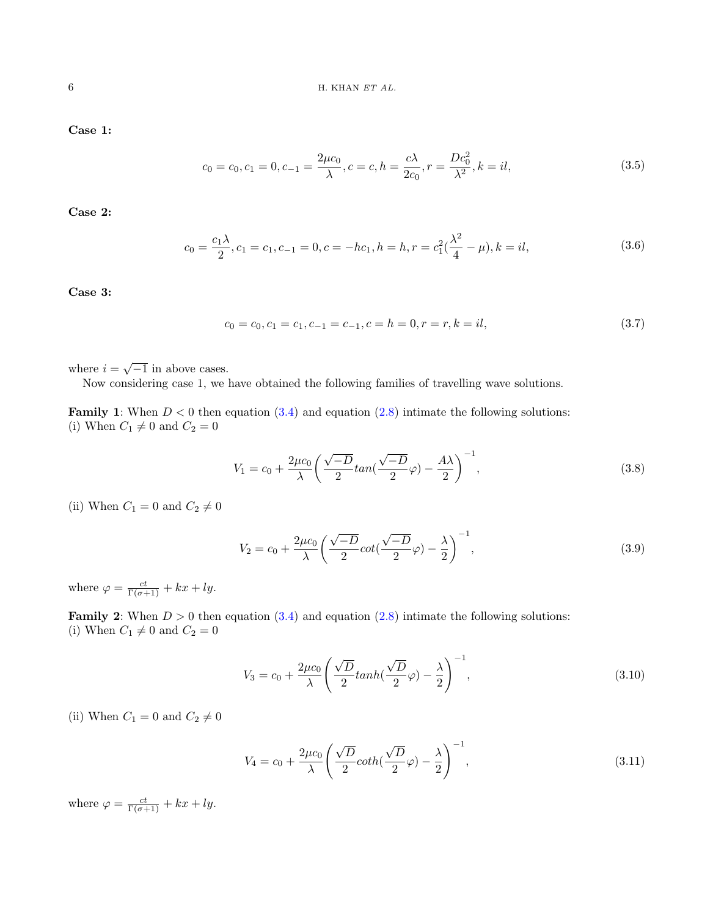Case 1:

$$
c_0 = c_0, c_1 = 0, c_{-1} = \frac{2\mu c_0}{\lambda}, c = c, h = \frac{c\lambda}{2c_0}, r = \frac{Dc_0^2}{\lambda^2}, k = il,
$$
\n(3.5)

Case 2:

$$
c_0 = \frac{c_1 \lambda}{2}, c_1 = c_1, c_{-1} = 0, c = -hc_1, h = h, r = c_1^2(\frac{\lambda^2}{4} - \mu), k = il,
$$
\n(3.6)

Case 3:

$$
c_0 = c_0, c_1 = c_1, c_{-1} = c_{-1}, c = h = 0, r = r, k = il,
$$
\n(3.7)

where  $i = \sqrt{-1}$  in above cases.

Now considering case 1, we have obtained the following families of travelling wave solutions.

**Family 1:** When  $D < 0$  then equation  $(3.4)$  and equation  $(2.8)$  intimate the following solutions: (i) When  $C_1 \neq 0$  and  $C_2 = 0$ 

<span id="page-5-1"></span>
$$
V_1 = c_0 + \frac{2\mu c_0}{\lambda} \left( \frac{\sqrt{-D}}{2} \tan\left(\frac{\sqrt{-D}}{2}\varphi\right) - \frac{A\lambda}{2} \right)^{-1},\tag{3.8}
$$

(ii) When  $C_1 = 0$  and  $C_2 \neq 0$ 

$$
V_2 = c_0 + \frac{2\mu c_0}{\lambda} \left( \frac{\sqrt{-D}}{2} \cot\left(\frac{\sqrt{-D}}{2}\varphi\right) - \frac{\lambda}{2} \right)^{-1},\tag{3.9}
$$

where  $\varphi = \frac{ct}{\Gamma(\sigma+1)} + kx + ly$ .

**Family 2:** When  $D > 0$  then equation  $(3.4)$  and equation  $(2.8)$  intimate the following solutions: (i) When  $C_1 \neq 0$  and  $C_2 = 0$ 

$$
V_3 = c_0 + \frac{2\mu c_0}{\lambda} \left( \frac{\sqrt{D}}{2} \tanh\left(\frac{\sqrt{D}}{2}\varphi\right) - \frac{\lambda}{2} \right)^{-1},\tag{3.10}
$$

(ii) When  $C_1 = 0$  and  $C_2 \neq 0$ 

<span id="page-5-0"></span>
$$
V_4 = c_0 + \frac{2\mu c_0}{\lambda} \left( \frac{\sqrt{D}}{2} \coth\left(\frac{\sqrt{D}}{2}\varphi\right) - \frac{\lambda}{2} \right)^{-1},\tag{3.11}
$$

where  $\varphi = \frac{ct}{\Gamma(\sigma+1)} + kx + ly$ .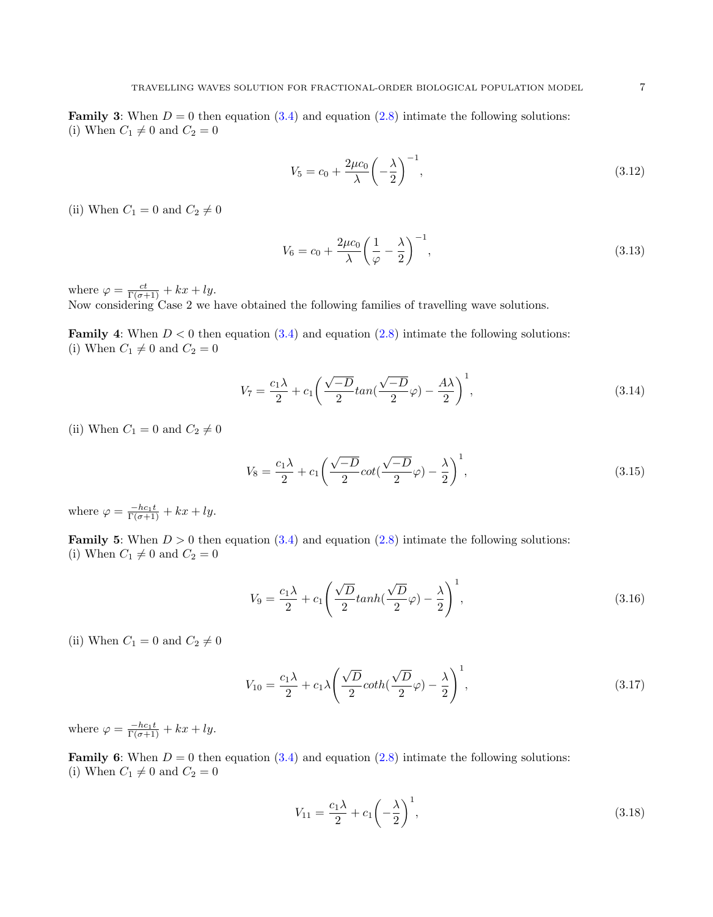**Family 3:** When  $D = 0$  then equation [\(3.4\)](#page-4-3) and equation [\(2.8\)](#page-4-1) intimate the following solutions: (i) When  $C_1 \neq 0$  and  $C_2 = 0$ 

$$
V_5 = c_0 + \frac{2\mu c_0}{\lambda} \left( -\frac{\lambda}{2} \right)^{-1},
$$
\n(3.12)

(ii) When  $C_1 = 0$  and  $C_2 \neq 0$ 

$$
V_6 = c_0 + \frac{2\mu c_0}{\lambda} \left(\frac{1}{\varphi} - \frac{\lambda}{2}\right)^{-1},\tag{3.13}
$$

where  $\varphi = \frac{ct}{\Gamma(\sigma+1)} + kx + ly$ .

Now considering Case 2 we have obtained the following families of travelling wave solutions.

**Family 4:** When  $D < 0$  then equation  $(3.4)$  and equation  $(2.8)$  intimate the following solutions: (i) When  $C_1 \neq 0$  and  $C_2 = 0$ 

$$
V_7 = \frac{c_1 \lambda}{2} + c_1 \left(\frac{\sqrt{-D}}{2} \tan\left(\frac{\sqrt{-D}}{2}\varphi\right) - \frac{A\lambda}{2}\right)^1,\tag{3.14}
$$

(ii) When  $C_1 = 0$  and  $C_2 \neq 0$ 

$$
V_8 = \frac{c_1 \lambda}{2} + c_1 \left(\frac{\sqrt{-D}}{2} \cot\left(\frac{\sqrt{-D}}{2}\varphi\right) - \frac{\lambda}{2}\right)^1,\tag{3.15}
$$

where  $\varphi = \frac{-hc_1t}{\Gamma(\sigma+1)} + kx + ly.$ 

**Family 5:** When  $D > 0$  then equation  $(3.4)$  and equation  $(2.8)$  intimate the following solutions: (i) When  $C_1 \neq 0$  and  $C_2 = 0$ 

$$
V_9 = \frac{c_1 \lambda}{2} + c_1 \left( \frac{\sqrt{D}}{2} \tanh(\frac{\sqrt{D}}{2} \varphi) - \frac{\lambda}{2} \right)^1,\tag{3.16}
$$

(ii) When  $C_1 = 0$  and  $C_2 \neq 0$ 

$$
V_{10} = \frac{c_1 \lambda}{2} + c_1 \lambda \left( \frac{\sqrt{D}}{2} \coth(\frac{\sqrt{D}}{2}\varphi) - \frac{\lambda}{2} \right)^1, \tag{3.17}
$$

where  $\varphi = \frac{-hc_1t}{\Gamma(\sigma+1)} + kx + ly.$ 

**Family 6:** When  $D = 0$  then equation [\(3.4\)](#page-4-3) and equation [\(2.8\)](#page-4-1) intimate the following solutions: (i) When  $C_1 \neq 0$  and  $C_2 = 0$ 

$$
V_{11} = \frac{c_1 \lambda}{2} + c_1 \left(-\frac{\lambda}{2}\right)^1,\tag{3.18}
$$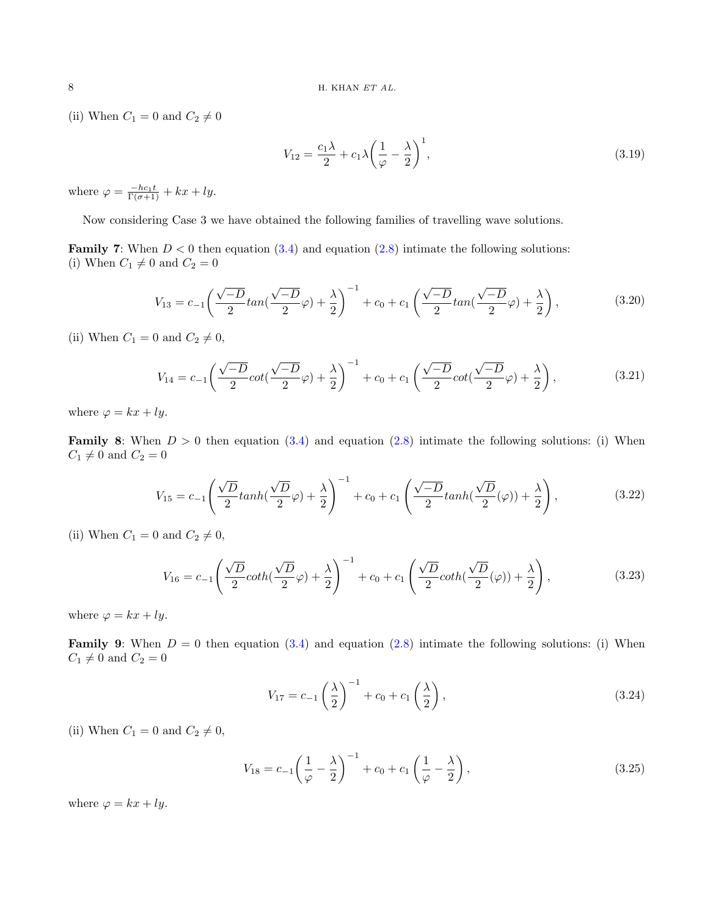(ii) When  $C_1 = 0$  and  $C_2 \neq 0$ 

$$
V_{12} = \frac{c_1 \lambda}{2} + c_1 \lambda \left(\frac{1}{\varphi} - \frac{\lambda}{2}\right)^1,\tag{3.19}
$$

where  $\varphi = \frac{-hc_1t}{\Gamma(\sigma+1)} + kx + ly.$ 

Now considering Case 3 we have obtained the following families of travelling wave solutions.

**Family 7:** When  $D < 0$  then equation  $(3.4)$  and equation  $(2.8)$  intimate the following solutions: (i) When  $C_1 \neq 0$  and  $C_2 = 0$ 

$$
V_{13} = c_{-1} \left( \frac{\sqrt{-D}}{2} \tan(\frac{\sqrt{-D}}{2} \varphi) + \frac{\lambda}{2} \right)^{-1} + c_0 + c_1 \left( \frac{\sqrt{-D}}{2} \tan(\frac{\sqrt{-D}}{2} \varphi) + \frac{\lambda}{2} \right),
$$
(3.20)

(ii) When  $C_1 = 0$  and  $C_2 \neq 0$ ,

$$
V_{14} = c_{-1} \left( \frac{\sqrt{-D}}{2} \cot \left( \frac{\sqrt{-D}}{2} \varphi \right) + \frac{\lambda}{2} \right)^{-1} + c_0 + c_1 \left( \frac{\sqrt{-D}}{2} \cot \left( \frac{\sqrt{-D}}{2} \varphi \right) + \frac{\lambda}{2} \right),
$$
(3.21)

where  $\varphi = kx + ly$ .

**Family 8:** When  $D > 0$  then equation  $(3.4)$  and equation  $(2.8)$  intimate the following solutions: (i) When  $C_1 \neq 0$  and  $C_2 = 0$ 

$$
V_{15} = c_{-1}\left(\frac{\sqrt{D}}{2}\tanh(\frac{\sqrt{D}}{2}\varphi) + \frac{\lambda}{2}\right)^{-1} + c_0 + c_1\left(\frac{\sqrt{-D}}{2}\tanh(\frac{\sqrt{D}}{2}(\varphi)) + \frac{\lambda}{2}\right),\tag{3.22}
$$

(ii) When  $C_1 = 0$  and  $C_2 \neq 0$ ,

$$
V_{16} = c_{-1}\left(\frac{\sqrt{D}}{2}\coth\left(\frac{\sqrt{D}}{2}\varphi\right) + \frac{\lambda}{2}\right)^{-1} + c_0 + c_1\left(\frac{\sqrt{D}}{2}\coth\left(\frac{\sqrt{D}}{2}(\varphi)\right) + \frac{\lambda}{2}\right),\tag{3.23}
$$

where  $\varphi = kx + ly$ .

**Family 9:** When  $D = 0$  then equation [\(3.4\)](#page-4-3) and equation [\(2.8\)](#page-4-1) intimate the following solutions: (i) When  $C_1 \neq 0$  and  $C_2 = 0$ 

$$
V_{17} = c_{-1} \left(\frac{\lambda}{2}\right)^{-1} + c_0 + c_1 \left(\frac{\lambda}{2}\right),
$$
\n(3.24)

(ii) When  $C_1 = 0$  and  $C_2 \neq 0$ ,

$$
V_{18} = c_{-1} \left(\frac{1}{\varphi} - \frac{\lambda}{2}\right)^{-1} + c_0 + c_1 \left(\frac{1}{\varphi} - \frac{\lambda}{2}\right),\tag{3.25}
$$

where  $\varphi = kx + ly$ .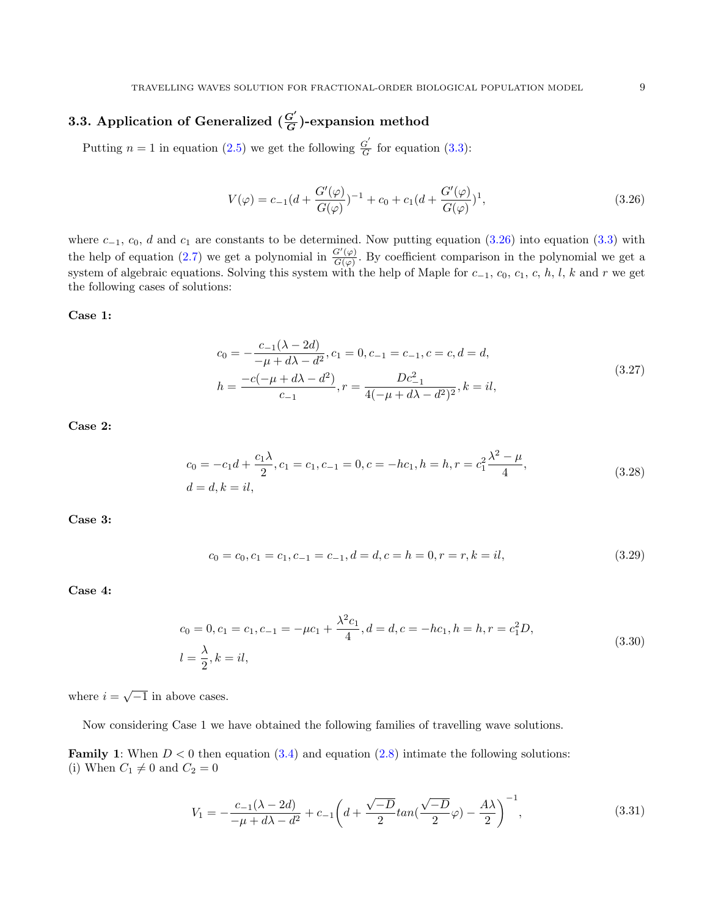#### 3.3. Application of Generalized  $(\frac{G'}{G})$  $\frac{G}{G}$ )-expansion method

Putting  $n = 1$  in equation [\(2.5\)](#page-3-4) we get the following  $\frac{G'}{G}$  $\frac{G}{G}$  for equation [\(3.3\)](#page-4-2):

<span id="page-8-0"></span>
$$
V(\varphi) = c_{-1}(d + \frac{G'(\varphi)}{G(\varphi)})^{-1} + c_0 + c_1(d + \frac{G'(\varphi)}{G(\varphi)})^1,
$$
\n(3.26)

where  $c_{-1}$ ,  $c_0$ , d and  $c_1$  are constants to be determined. Now putting equation [\(3.26\)](#page-8-0) into equation [\(3.3\)](#page-4-2) with the help of equation [\(2.7\)](#page-3-5) we get a polynomial in  $\frac{G'(\varphi)}{G(\varphi)}$  $\frac{G(\varphi)}{G(\varphi)}$ . By coefficient comparison in the polynomial we get a system of algebraic equations. Solving this system with the help of Maple for  $c_{-1}$ ,  $c_0$ ,  $c_1$ ,  $c$ ,  $h$ ,  $l$ ,  $k$  and  $r$  we get the following cases of solutions:

Case 1:

$$
c_0 = -\frac{c_{-1}(\lambda - 2d)}{-\mu + d\lambda - d^2}, c_1 = 0, c_{-1} = c_{-1}, c = c, d = d,
$$
  
\n
$$
h = \frac{-c(-\mu + d\lambda - d^2)}{c_{-1}}, r = \frac{Dc_{-1}^2}{4(-\mu + d\lambda - d^2)^2}, k = il,
$$
\n(3.27)

Case 2:

$$
c_0 = -c_1 d + \frac{c_1 \lambda}{2}, c_1 = c_1, c_{-1} = 0, c = -hc_1, h = h, r = c_1^2 \frac{\lambda^2 - \mu}{4},
$$
  
(3.28)  

$$
d = d, k = il,
$$

Case 3:

$$
c_0 = c_0, c_1 = c_1, c_{-1} = c_{-1}, d = d, c = h = 0, r = r, k = il,
$$
\n(3.29)

Case 4:

$$
c_0 = 0, c_1 = c_1, c_{-1} = -\mu c_1 + \frac{\lambda^2 c_1}{4}, d = d, c = -hc_1, h = h, r = c_1^2 D,
$$
  

$$
l = \frac{\lambda}{2}, k = il,
$$
 (3.30)

where  $i = \sqrt{-1}$  in above cases.

Now considering Case 1 we have obtained the following families of travelling wave solutions.

**Family 1:** When  $D < 0$  then equation  $(3.4)$  and equation  $(2.8)$  intimate the following solutions: (i) When  $C_1 \neq 0$  and  $C_2 = 0$ 

$$
V_1 = -\frac{c_{-1}(\lambda - 2d)}{-\mu + d\lambda - d^2} + c_{-1}\left(d + \frac{\sqrt{-D}}{2}tan(\frac{\sqrt{-D}}{2}\varphi) - \frac{A\lambda}{2}\right)^{-1},
$$
\n(3.31)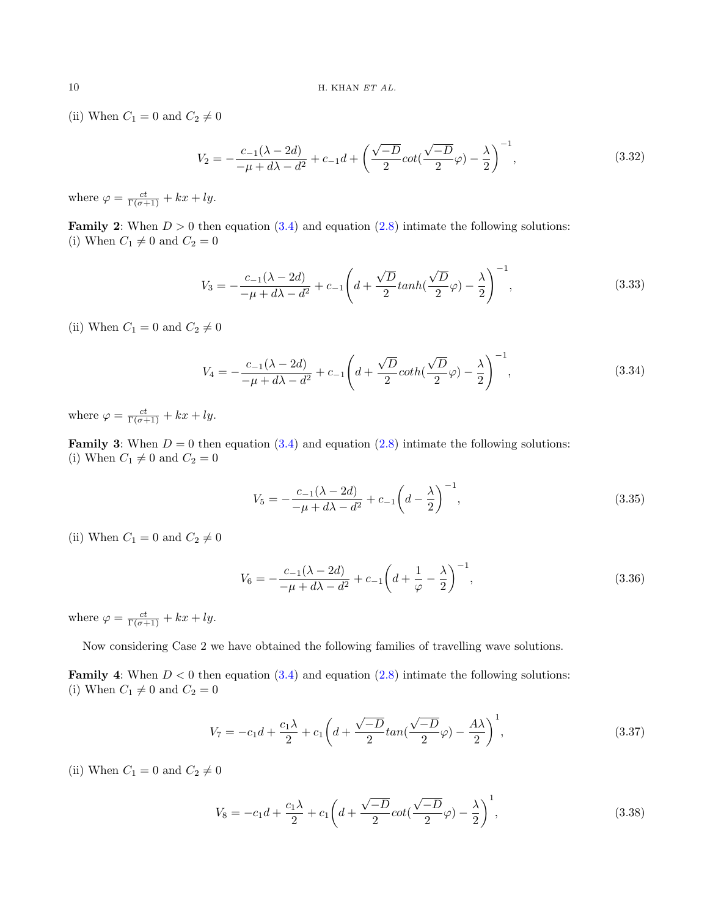(ii) When  $C_1 = 0$  and  $C_2 \neq 0$ 

$$
V_2 = -\frac{c_{-1}(\lambda - 2d)}{-\mu + d\lambda - d^2} + c_{-1}d + \left(\frac{\sqrt{-D}}{2}\cot(\frac{\sqrt{-D}}{2}\varphi) - \frac{\lambda}{2}\right)^{-1},\tag{3.32}
$$

where  $\varphi = \frac{ct}{\Gamma(\sigma+1)} + kx + ly$ .

**Family 2:** When  $D > 0$  then equation [\(3.4\)](#page-4-3) and equation [\(2.8\)](#page-4-1) intimate the following solutions: (i) When  $C_1 \neq 0$  and  $C_2 = 0$ 

$$
V_3 = -\frac{c_{-1}(\lambda - 2d)}{-\mu + d\lambda - d^2} + c_{-1} \left( d + \frac{\sqrt{D}}{2} \tanh(\frac{\sqrt{D}}{2}\varphi) - \frac{\lambda}{2} \right)^{-1},
$$
\n(3.33)

(ii) When  $C_1 = 0$  and  $C_2 \neq 0$ 

$$
V_4 = -\frac{c_{-1}(\lambda - 2d)}{-\mu + d\lambda - d^2} + c_{-1} \left( d + \frac{\sqrt{D}}{2} \coth(\frac{\sqrt{D}}{2}\varphi) - \frac{\lambda}{2} \right)^{-1},\tag{3.34}
$$

where  $\varphi = \frac{ct}{\Gamma(\sigma+1)} + kx + ly$ .

**Family 3:** When  $D = 0$  then equation [\(3.4\)](#page-4-3) and equation [\(2.8\)](#page-4-1) intimate the following solutions: (i) When  $C_1 \neq 0$  and  $C_2 = 0$ 

$$
V_5 = -\frac{c_{-1}(\lambda - 2d)}{-\mu + d\lambda - d^2} + c_{-1}\left(d - \frac{\lambda}{2}\right)^{-1},\tag{3.35}
$$

(ii) When  $C_1 = 0$  and  $C_2 \neq 0$ 

<span id="page-9-0"></span>
$$
V_6 = -\frac{c_{-1}(\lambda - 2d)}{-\mu + d\lambda - d^2} + c_{-1}\left(d + \frac{1}{\varphi} - \frac{\lambda}{2}\right)^{-1},\tag{3.36}
$$

where  $\varphi = \frac{ct}{\Gamma(\sigma+1)} + kx + ly$ .

Now considering Case 2 we have obtained the following families of travelling wave solutions.

**Family 4:** When  $D < 0$  then equation  $(3.4)$  and equation  $(2.8)$  intimate the following solutions: (i) When  $C_1 \neq 0$  and  $C_2 = 0$ 

$$
V_7 = -c_1 d + \frac{c_1 \lambda}{2} + c_1 \left( d + \frac{\sqrt{-D}}{2} \tan\left(\frac{\sqrt{-D}}{2}\varphi\right) - \frac{A\lambda}{2} \right)^1, \tag{3.37}
$$

(ii) When  $C_1 = 0$  and  $C_2 \neq 0$ 

$$
V_8 = -c_1 d + \frac{c_1 \lambda}{2} + c_1 \left( d + \frac{\sqrt{-D}}{2} \cot\left(\frac{\sqrt{-D}}{2}\varphi\right) - \frac{\lambda}{2} \right)^1,\tag{3.38}
$$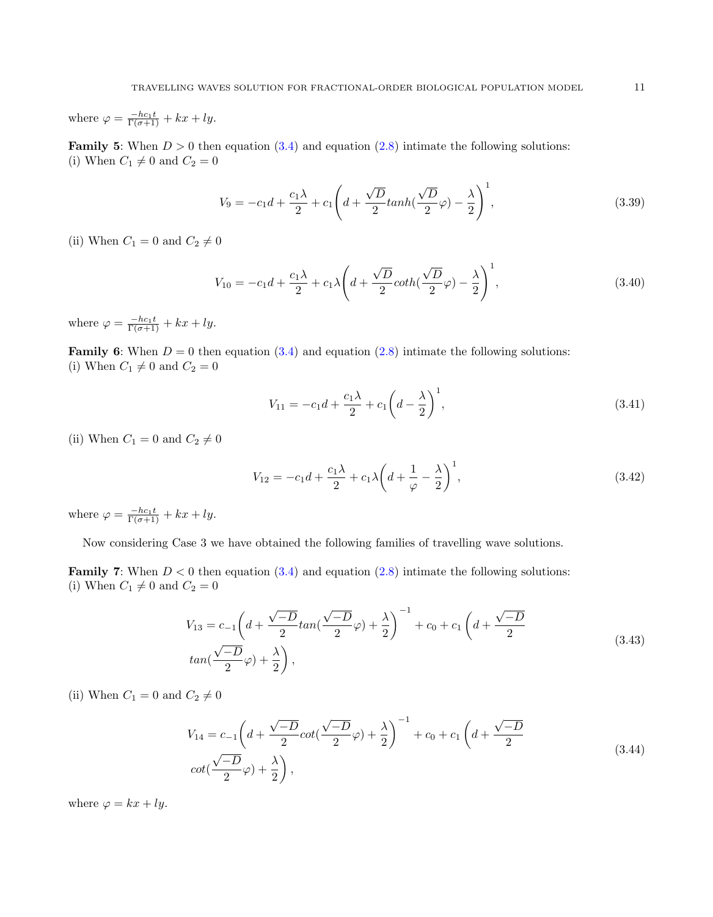where  $\varphi = \frac{-hc_1t}{\Gamma(\sigma+1)} + kx + ly.$ 

**Family 5:** When  $D > 0$  then equation  $(3.4)$  and equation  $(2.8)$  intimate the following solutions: (i) When  $C_1 \neq 0$  and  $C_2 = 0$ 

$$
V_9 = -c_1d + \frac{c_1\lambda}{2} + c_1\left(d + \frac{\sqrt{D}}{2}\tanh(\frac{\sqrt{D}}{2}\varphi) - \frac{\lambda}{2}\right)^1,\tag{3.39}
$$

(ii) When  $C_1 = 0$  and  $C_2 \neq 0$ 

$$
V_{10} = -c_1 d + \frac{c_1 \lambda}{2} + c_1 \lambda \left( d + \frac{\sqrt{D}}{2} \coth\left(\frac{\sqrt{D}}{2}\varphi\right) - \frac{\lambda}{2} \right)^1,\tag{3.40}
$$

where  $\varphi = \frac{-hc_1t}{\Gamma(\sigma+1)} + kx + ly.$ 

**Family 6:** When  $D = 0$  then equation [\(3.4\)](#page-4-3) and equation [\(2.8\)](#page-4-1) intimate the following solutions: (i) When  $C_1 \neq 0$  and  $C_2 = 0$ 

$$
V_{11} = -c_1 d + \frac{c_1 \lambda}{2} + c_1 \left( d - \frac{\lambda}{2} \right)^1,\tag{3.41}
$$

(ii) When  $C_1 = 0$  and  $C_2 \neq 0$ 

$$
V_{12} = -c_1 d + \frac{c_1 \lambda}{2} + c_1 \lambda \left( d + \frac{1}{\varphi} - \frac{\lambda}{2} \right)^1, \tag{3.42}
$$

where  $\varphi = \frac{-hc_1t}{\Gamma(\sigma+1)} + kx + ly.$ 

Now considering Case 3 we have obtained the following families of travelling wave solutions.

**Family 7:** When  $D < 0$  then equation  $(3.4)$  and equation  $(2.8)$  intimate the following solutions: (i) When  $C_1 \neq 0$  and  $C_2 = 0$ 

$$
V_{13} = c_{-1} \left( d + \frac{\sqrt{-D}}{2} \tan\left(\frac{\sqrt{-D}}{2}\varphi\right) + \frac{\lambda}{2} \right)^{-1} + c_0 + c_1 \left( d + \frac{\sqrt{-D}}{2} \tan\left(\frac{\sqrt{-D}}{2}\varphi\right) + \frac{\lambda}{2} \right),
$$
\n
$$
\tan\left(\frac{\sqrt{-D}}{2}\varphi\right) + \frac{\lambda}{2} \right),
$$
\n(3.43)

(ii) When  $C_1 = 0$  and  $C_2 \neq 0$ 

$$
V_{14} = c_{-1} \left( d + \frac{\sqrt{-D}}{2} \cot(\frac{\sqrt{-D}}{2}\varphi) + \frac{\lambda}{2} \right)^{-1} + c_0 + c_1 \left( d + \frac{\sqrt{-D}}{2} \cot(\frac{\sqrt{-D}}{2}\varphi) + \frac{\lambda}{2} \right),
$$
\n(3.44)

where  $\varphi = kx + ly$ .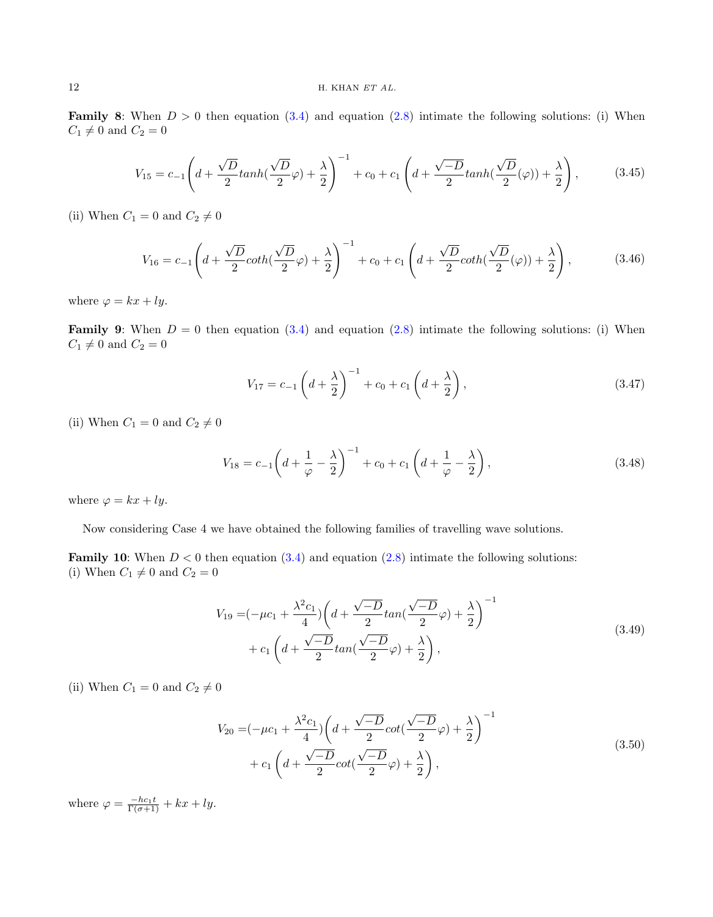**Family 8:** When  $D > 0$  then equation  $(3.4)$  and equation  $(2.8)$  intimate the following solutions: (i) When  $C_1 \neq 0$  and  $C_2 = 0$ 

$$
V_{15} = c_{-1} \left( d + \frac{\sqrt{D}}{2} \tanh(\frac{\sqrt{D}}{2}\varphi) + \frac{\lambda}{2} \right)^{-1} + c_0 + c_1 \left( d + \frac{\sqrt{-D}}{2} \tanh(\frac{\sqrt{D}}{2}(\varphi)) + \frac{\lambda}{2} \right),
$$
 (3.45)

(ii) When  $C_1=0$  and  $C_2\neq 0$ 

$$
V_{16} = c_{-1} \left( d + \frac{\sqrt{D}}{2} \coth(\frac{\sqrt{D}}{2}\varphi) + \frac{\lambda}{2} \right)^{-1} + c_0 + c_1 \left( d + \frac{\sqrt{D}}{2} \coth(\frac{\sqrt{D}}{2}(\varphi)) + \frac{\lambda}{2} \right),
$$
(3.46)

where  $\varphi = kx + ly$ .

**Family 9:** When  $D = 0$  then equation [\(3.4\)](#page-4-3) and equation [\(2.8\)](#page-4-1) intimate the following solutions: (i) When  $C_1 \neq 0$  and  $C_2 = 0$ 

$$
V_{17} = c_{-1} \left( d + \frac{\lambda}{2} \right)^{-1} + c_0 + c_1 \left( d + \frac{\lambda}{2} \right), \tag{3.47}
$$

(ii) When  $C_1 = 0$  and  $C_2 \neq 0$ 

$$
V_{18} = c_{-1} \left( d + \frac{1}{\varphi} - \frac{\lambda}{2} \right)^{-1} + c_0 + c_1 \left( d + \frac{1}{\varphi} - \frac{\lambda}{2} \right),\tag{3.48}
$$

where  $\varphi = kx + ly$ .

Now considering Case 4 we have obtained the following families of travelling wave solutions.

**Family 10:** When  $D < 0$  then equation [\(3.4\)](#page-4-3) and equation [\(2.8\)](#page-4-1) intimate the following solutions: (i) When  $C_1 \neq 0$  and  $C_2 = 0$ 

$$
V_{19} = \left(-\mu c_1 + \frac{\lambda^2 c_1}{4}\right) \left(d + \frac{\sqrt{-D}}{2} \tan\left(\frac{\sqrt{-D}}{2}\varphi\right) + \frac{\lambda}{2}\right)^{-1} + c_1 \left(d + \frac{\sqrt{-D}}{2} \tan\left(\frac{\sqrt{-D}}{2}\varphi\right) + \frac{\lambda}{2}\right),
$$
\n(3.49)

(ii) When  $C_1 = 0$  and  $C_2 \neq 0$ 

$$
V_{20} = (-\mu c_1 + \frac{\lambda^2 c_1}{4}) \left( d + \frac{\sqrt{-D}}{2} \cot(\frac{\sqrt{-D}}{2}\varphi) + \frac{\lambda}{2} \right)^{-1} + c_1 \left( d + \frac{\sqrt{-D}}{2} \cot(\frac{\sqrt{-D}}{2}\varphi) + \frac{\lambda}{2} \right),
$$
(3.50)

where  $\varphi = \frac{-hc_1t}{\Gamma(\sigma+1)} + kx + ly.$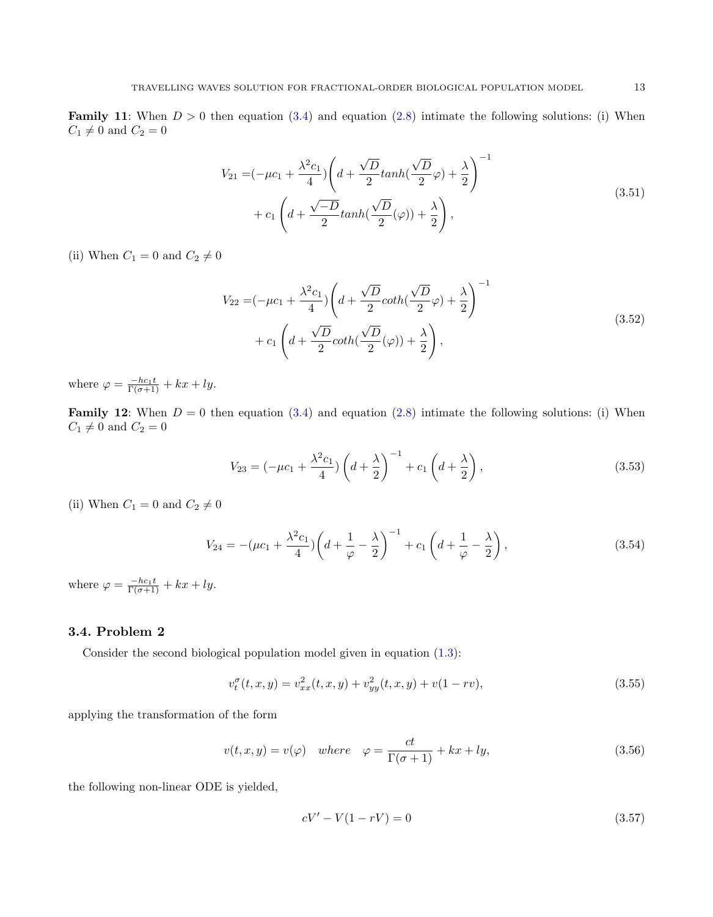**Family 11:** When  $D > 0$  then equation [\(3.4\)](#page-4-3) and equation [\(2.8\)](#page-4-1) intimate the following solutions: (i) When  $C_1 \neq 0$  and  $C_2 = 0$ 

$$
V_{21} = \left(-\mu c_1 + \frac{\lambda^2 c_1}{4}\right) \left(d + \frac{\sqrt{D}}{2} \tanh\left(\frac{\sqrt{D}}{2}\varphi\right) + \frac{\lambda}{2}\right)^{-1} + c_1 \left(d + \frac{\sqrt{-D}}{2} \tanh\left(\frac{\sqrt{D}}{2}(\varphi)\right) + \frac{\lambda}{2}\right),
$$
\n(3.51)

(ii) When  $C_1 = 0$  and  $C_2 \neq 0$ 

$$
V_{22} = \left(-\mu c_1 + \frac{\lambda^2 c_1}{4}\right) \left(d + \frac{\sqrt{D}}{2} \coth\left(\frac{\sqrt{D}}{2}\varphi\right) + \frac{\lambda}{2}\right)^{-1} + c_1 \left(d + \frac{\sqrt{D}}{2} \coth\left(\frac{\sqrt{D}}{2}(\varphi)\right) + \frac{\lambda}{2}\right),
$$
\n(3.52)

where  $\varphi = \frac{-hc_1t}{\Gamma(\sigma+1)} + kx + ly.$ 

**Family 12:** When  $D = 0$  then equation [\(3.4\)](#page-4-3) and equation [\(2.8\)](#page-4-1) intimate the following solutions: (i) When  $C_1 \neq 0$  and  $C_2 = 0$ 

$$
V_{23} = (-\mu c_1 + \frac{\lambda^2 c_1}{4}) \left( d + \frac{\lambda}{2} \right)^{-1} + c_1 \left( d + \frac{\lambda}{2} \right), \tag{3.53}
$$

(ii) When  $C_1 = 0$  and  $C_2 \neq 0$ 

$$
V_{24} = -(\mu c_1 + \frac{\lambda^2 c_1}{4}) \left( d + \frac{1}{\varphi} - \frac{\lambda}{2} \right)^{-1} + c_1 \left( d + \frac{1}{\varphi} - \frac{\lambda}{2} \right),\tag{3.54}
$$

where  $\varphi = \frac{-hc_1t}{\Gamma(\sigma+1)} + kx + ly.$ 

# 3.4. Problem 2

Consider the second biological population model given in equation [\(1.3\)](#page-2-1):

$$
v_t^{\sigma}(t, x, y) = v_{xx}^2(t, x, y) + v_{yy}^2(t, x, y) + v(1 - rv),
$$
\n(3.55)

applying the transformation of the form

$$
v(t, x, y) = v(\varphi) \quad where \quad \varphi = \frac{ct}{\Gamma(\sigma + 1)} + kx + ly,
$$
\n(3.56)

the following non-linear ODE is yielded,

<span id="page-12-0"></span>
$$
cV' - V(1 - rV) = 0 \tag{3.57}
$$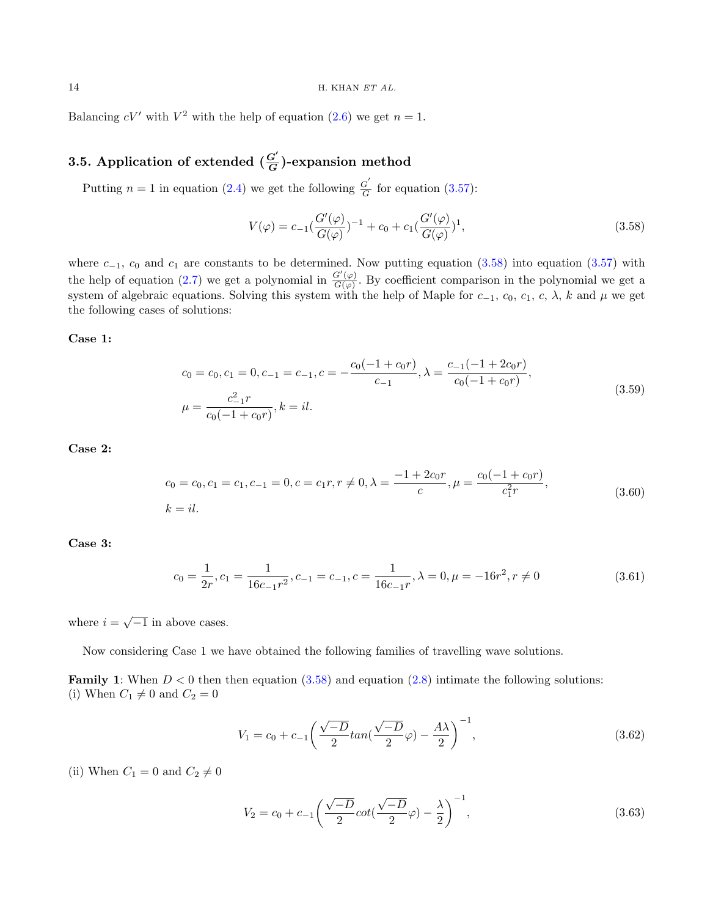Balancing  $cV'$  with  $V^2$  with the help of equation  $(2.6)$  we get  $n = 1$ .

#### 3.5. Application of extended  $(\frac{G'}{G})$  $\frac{G}{G}$ )-expansion method

Putting  $n = 1$  in equation [\(2.4\)](#page-3-3) we get the following  $\frac{G'}{G}$  $\frac{G}{G}$  for equation [\(3.57\)](#page-12-0):

<span id="page-13-0"></span>
$$
V(\varphi) = c_{-1} \left( \frac{G'(\varphi)}{G(\varphi)} \right)^{-1} + c_0 + c_1 \left( \frac{G'(\varphi)}{G(\varphi)} \right)^1, \tag{3.58}
$$

where  $c_{-1}$ ,  $c_0$  and  $c_1$  are constants to be determined. Now putting equation [\(3.58\)](#page-13-0) into equation [\(3.57\)](#page-12-0) with the help of equation [\(2.7\)](#page-3-5) we get a polynomial in  $\frac{G'(\varphi)}{G(\varphi)}$  $\frac{G(\varphi)}{G(\varphi)}$ . By coefficient comparison in the polynomial we get a system of algebraic equations. Solving this system with the help of Maple for  $c_{-1}$ ,  $c_0$ ,  $c_1$ ,  $c$ ,  $\lambda$ ,  $k$  and  $\mu$  we get the following cases of solutions:

Case 1:

$$
c_0 = c_0, c_1 = 0, c_{-1} = c_{-1}, c = -\frac{c_0(-1 + c_0r)}{c_{-1}}, \lambda = \frac{c_{-1}(-1 + 2c_0r)}{c_0(-1 + c_0r)},
$$
  
\n
$$
\mu = \frac{c_{-1}^2r}{c_0(-1 + c_0r)}, k = il.
$$
\n(3.59)

Case 2:

$$
c_0 = c_0, c_1 = c_1, c_{-1} = 0, c = c_1 r, r \neq 0, \lambda = \frac{-1 + 2c_0 r}{c}, \mu = \frac{c_0 (-1 + c_0 r)}{c_1^2 r},
$$
  
(3.60)  

$$
k = il.
$$

Case 3:

$$
c_0 = \frac{1}{2r}, c_1 = \frac{1}{16c_{-1}r^2}, c_{-1} = c_{-1}, c = \frac{1}{16c_{-1}r}, \lambda = 0, \mu = -16r^2, r \neq 0
$$
\n(3.61)

where  $i = \sqrt{-1}$  in above cases.

Now considering Case 1 we have obtained the following families of travelling wave solutions.

**Family 1:** When  $D < 0$  then then equation  $(3.58)$  and equation  $(2.8)$  intimate the following solutions: (i) When  $C_1 \neq 0$  and  $C_2 = 0$ 

$$
V_1 = c_0 + c_{-1} \left( \frac{\sqrt{-D}}{2} \tan(\frac{\sqrt{-D}}{2} \varphi) - \frac{A\lambda}{2} \right)^{-1}, \tag{3.62}
$$

(ii) When  $C_1 = 0$  and  $C_2 \neq 0$ 

$$
V_2 = c_0 + c_{-1} \left( \frac{\sqrt{-D}}{2} \cot(\frac{\sqrt{-D}}{2}\varphi) - \frac{\lambda}{2} \right)^{-1},
$$
\n(3.63)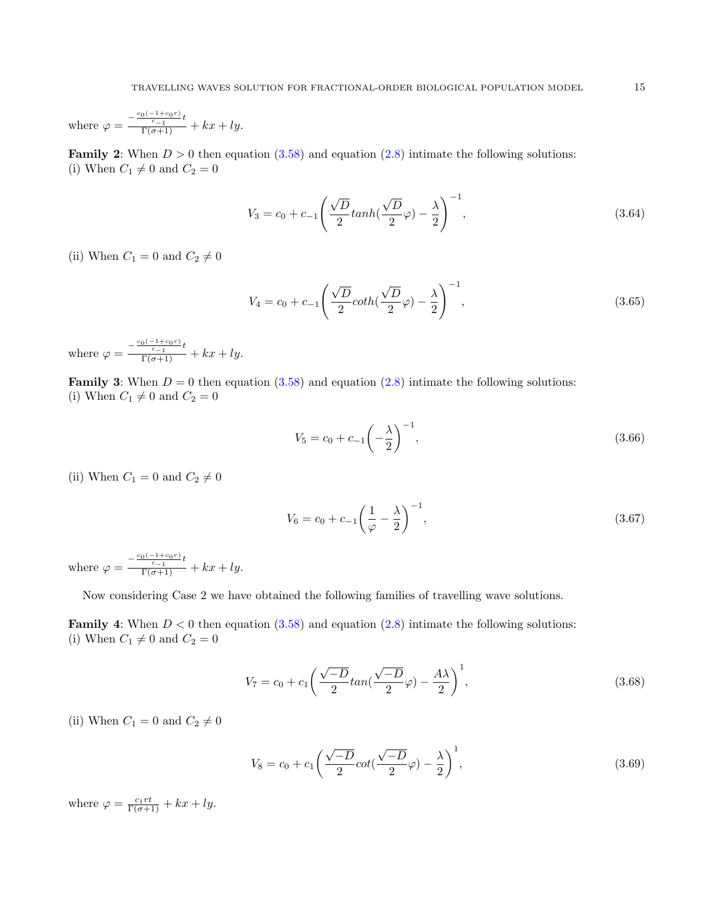where 
$$
\varphi = \frac{-\frac{c_0(-1+c_0r)}{c-1}t}{\Gamma(\sigma+1)} + kx + ly.
$$

**Family 2:** When  $D > 0$  then equation [\(3.58\)](#page-13-0) and equation [\(2.8\)](#page-4-1) intimate the following solutions: (i) When  $C_1 \neq 0$  and  $C_2 = 0$ 

$$
V_3 = c_0 + c_{-1} \left( \frac{\sqrt{D}}{2} \tanh(\frac{\sqrt{D}}{2} \varphi) - \frac{\lambda}{2} \right)^{-1},
$$
\n(3.64)

(ii) When  $C_1 = 0$  and  $C_2 \neq 0$ 

$$
V_4 = c_0 + c_{-1} \left( \frac{\sqrt{D}}{2} \coth(\frac{\sqrt{D}}{2}\varphi) - \frac{\lambda}{2} \right)^{-1},
$$
\n(3.65)

where  $\varphi = \frac{-\frac{c_0(-1+c_0r)}{c-1}t}{\Gamma(\sigma+1)} + kx + ly.$ 

**Family 3:** When  $D = 0$  then equation [\(3.58\)](#page-13-0) and equation [\(2.8\)](#page-4-1) intimate the following solutions: (i) When  $C_1 \neq 0$  and  $C_2 = 0$ 

$$
V_5 = c_0 + c_{-1} \left( -\frac{\lambda}{2} \right)^{-1}, \tag{3.66}
$$

(ii) When  $C_1 = 0$  and  $C_2 \neq 0$ 

$$
V_6 = c_0 + c_{-1} \left(\frac{1}{\varphi} - \frac{\lambda}{2}\right)^{-1},\tag{3.67}
$$

where  $\varphi = \frac{-\frac{c_0(-1+c_0r)}{c-1}t}{\Gamma(\sigma+1)} + kx + ly.$ 

Now considering Case 2 we have obtained the following families of travelling wave solutions.

**Family 4:** When  $D < 0$  then equation  $(3.58)$  and equation  $(2.8)$  intimate the following solutions: (i) When  $C_1 \neq 0$  and  $C_2 = 0$ 

$$
V_7 = c_0 + c_1 \left(\frac{\sqrt{-D}}{2} \tan\left(\frac{\sqrt{-D}}{2}\varphi\right) - \frac{A\lambda}{2}\right)^1, \tag{3.68}
$$

(ii) When  $C_1 = 0$  and  $C_2 \neq 0$ 

$$
V_8 = c_0 + c_1 \left(\frac{\sqrt{-D}}{2} \cot\left(\frac{\sqrt{-D}}{2}\varphi\right) - \frac{\lambda}{2}\right)^1,\tag{3.69}
$$

where  $\varphi = \frac{c_1 r t}{\Gamma(\sigma + 1)} + kx + ly$ .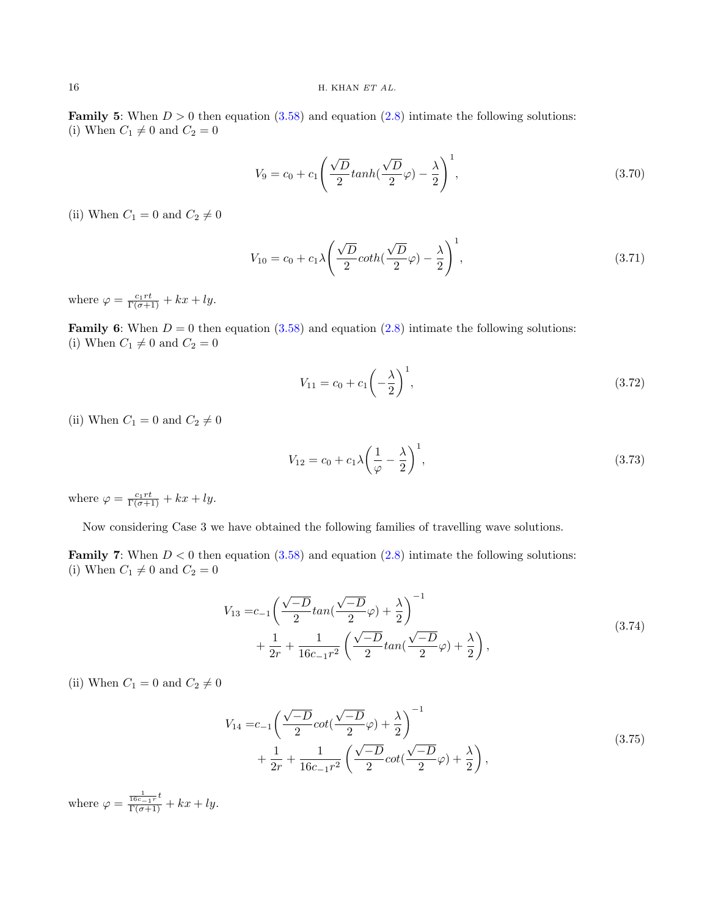**Family 5:** When  $D > 0$  then equation [\(3.58\)](#page-13-0) and equation [\(2.8\)](#page-4-1) intimate the following solutions: (i) When  $C_1 \neq 0$  and  $C_2 = 0$ 

$$
V_9 = c_0 + c_1 \left(\frac{\sqrt{D}}{2} \tanh\left(\frac{\sqrt{D}}{2}\varphi\right) - \frac{\lambda}{2}\right)^1,\tag{3.70}
$$

(ii) When  $C_1 = 0$  and  $C_2 \neq 0$ 

$$
V_{10} = c_0 + c_1 \lambda \left( \frac{\sqrt{D}}{2} \coth(\frac{\sqrt{D}}{2}\varphi) - \frac{\lambda}{2} \right)^1, \tag{3.71}
$$

where  $\varphi = \frac{c_1 r t}{\Gamma(\sigma + 1)} + kx + ly$ .

**Family 6:** When  $D = 0$  then equation [\(3.58\)](#page-13-0) and equation [\(2.8\)](#page-4-1) intimate the following solutions: (i) When  $C_1 \neq 0$  and  $C_2 = 0$ 

$$
V_{11} = c_0 + c_1 \left(-\frac{\lambda}{2}\right)^1,\tag{3.72}
$$

(ii) When  $C_1 = 0$  and  $C_2 \neq 0$ 

$$
V_{12} = c_0 + c_1 \lambda \left(\frac{1}{\varphi} - \frac{\lambda}{2}\right)^1,\tag{3.73}
$$

where  $\varphi = \frac{c_1 r t}{\Gamma(\sigma + 1)} + kx + ly$ .

Now considering Case 3 we have obtained the following families of travelling wave solutions.

**Family 7:** When  $D < 0$  then equation [\(3.58\)](#page-13-0) and equation [\(2.8\)](#page-4-1) intimate the following solutions: (i) When  $C_1 \neq 0$  and  $C_2 = 0$ 

$$
V_{13} = c_{-1} \left( \frac{\sqrt{-D}}{2} \tan(\frac{\sqrt{-D}}{2}\varphi) + \frac{\lambda}{2} \right)^{-1} + \frac{1}{2r} + \frac{1}{16c_{-1}r^2} \left( \frac{\sqrt{-D}}{2} \tan(\frac{\sqrt{-D}}{2}\varphi) + \frac{\lambda}{2} \right),
$$
\n(3.74)

(ii) When  $C_1 = 0$  and  $C_2 \neq 0$ 

$$
V_{14} = c_{-1} \left( \frac{\sqrt{-D}}{2} \cot \left( \frac{\sqrt{-D}}{2} \varphi \right) + \frac{\lambda}{2} \right)^{-1} + \frac{1}{2r} + \frac{1}{16c_{-1}r^2} \left( \frac{\sqrt{-D}}{2} \cot \left( \frac{\sqrt{-D}}{2} \varphi \right) + \frac{\lambda}{2} \right),
$$
\n(3.75)

where  $\varphi = \frac{\frac{1}{16c-1r}t}{\Gamma(\sigma+1)} + kx + ly.$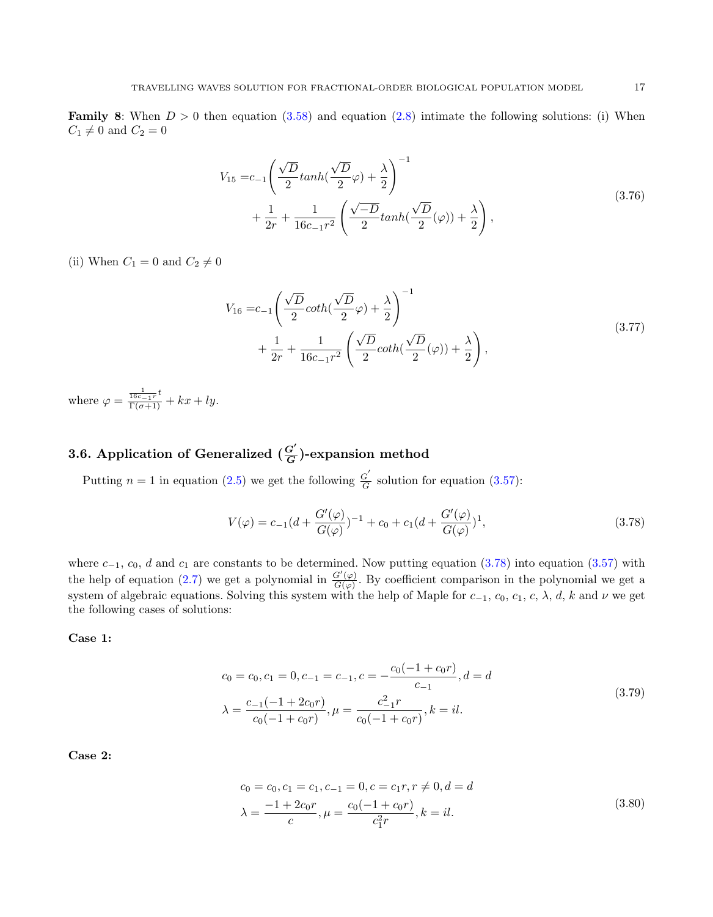**Family 8:** When  $D > 0$  then equation [\(3.58\)](#page-13-0) and equation [\(2.8\)](#page-4-1) intimate the following solutions: (i) When  $C_1 \neq 0$  and  $C_2 = 0$ 

$$
V_{15} = c_{-1} \left( \frac{\sqrt{D}}{2} \tanh(\frac{\sqrt{D}}{2}\varphi) + \frac{\lambda}{2} \right)^{-1} + \frac{1}{2r} + \frac{1}{16c_{-1}r^{2}} \left( \frac{\sqrt{-D}}{2} \tanh(\frac{\sqrt{D}}{2}(\varphi)) + \frac{\lambda}{2} \right),
$$
\n(3.76)

(ii) When  $C_1 = 0$  and  $C_2 \neq 0$ 

$$
V_{16} = c_{-1} \left( \frac{\sqrt{D}}{2} \coth(\frac{\sqrt{D}}{2}\varphi) + \frac{\lambda}{2} \right)^{-1} + \frac{1}{2r} + \frac{1}{16c_{-1}r^2} \left( \frac{\sqrt{D}}{2} \coth(\frac{\sqrt{D}}{2}(\varphi)) + \frac{\lambda}{2} \right),
$$
\n(3.77)

where  $\varphi = \frac{\frac{1}{16c-1r}t}{\Gamma(\sigma+1)} + kx + ly.$ 

#### 3.6. Application of Generalized  $(\frac{G'}{G})$  $\frac{G}{G}$ )-expansion method

Putting  $n = 1$  in equation [\(2.5\)](#page-3-4) we get the following  $\frac{G}{G}$  $\frac{G}{G}$  solution for equation [\(3.57\)](#page-12-0):

<span id="page-16-0"></span>
$$
V(\varphi) = c_{-1}(d + \frac{G'(\varphi)}{G(\varphi)})^{-1} + c_0 + c_1(d + \frac{G'(\varphi)}{G(\varphi)})^1,
$$
\n(3.78)

where  $c_{-1}$ ,  $c_0$ , d and  $c_1$  are constants to be determined. Now putting equation [\(3.78\)](#page-16-0) into equation [\(3.57\)](#page-12-0) with the help of equation [\(2.7\)](#page-3-5) we get a polynomial in  $\frac{G'(\varphi)}{G(\varphi)}$  $\frac{G(\varphi)}{G(\varphi)}$ . By coefficient comparison in the polynomial we get a system of algebraic equations. Solving this system with the help of Maple for  $c_{-1}$ ,  $c_0$ ,  $c_1$ ,  $c$ ,  $\lambda$ ,  $d$ ,  $k$  and  $\nu$  we get the following cases of solutions:

Case 1:

$$
c_0 = c_0, c_1 = 0, c_{-1} = c_{-1}, c = -\frac{c_0(-1 + c_0r)}{c_{-1}}, d = d
$$
  
\n
$$
\lambda = \frac{c_{-1}(-1 + 2c_0r)}{c_0(-1 + c_0r)}, \mu = \frac{c_{-1}^2r}{c_0(-1 + c_0r)}, k = il.
$$
\n(3.79)

Case 2:

$$
c_0 = c_0, c_1 = c_1, c_{-1} = 0, c = c_1 r, r \neq 0, d = d
$$
  
\n
$$
\lambda = \frac{-1 + 2c_0 r}{c}, \mu = \frac{c_0(-1 + c_0 r)}{c_1^2 r}, k = il.
$$
\n(3.80)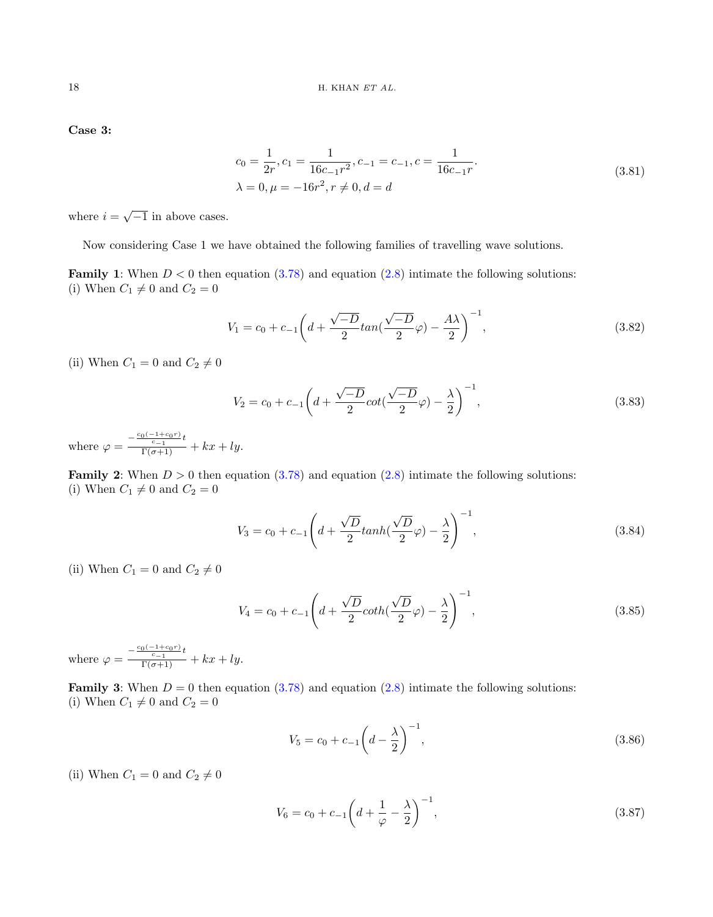Case 3:

$$
c_0 = \frac{1}{2r}, c_1 = \frac{1}{16c_{-1}r^2}, c_{-1} = c_{-1}, c = \frac{1}{16c_{-1}r}.
$$
  
\n
$$
\lambda = 0, \mu = -16r^2, r \neq 0, d = d
$$
\n(3.81)

where  $i = \sqrt{-1}$  in above cases.

Now considering Case 1 we have obtained the following families of travelling wave solutions.

**Family 1:** When  $D < 0$  then equation  $(3.78)$  and equation  $(2.8)$  intimate the following solutions: (i) When  $C_1 \neq 0$  and  $C_2 = 0$ 

$$
V_1 = c_0 + c_{-1} \left( d + \frac{\sqrt{-D}}{2} \tan\left(\frac{\sqrt{-D}}{2}\varphi\right) - \frac{A\lambda}{2} \right)^{-1},\tag{3.82}
$$

(ii) When  $C_1 = 0$  and  $C_2 \neq 0$ 

$$
V_2 = c_0 + c_{-1} \left( d + \frac{\sqrt{-D}}{2} \cot\left(\frac{\sqrt{-D}}{2}\varphi\right) - \frac{\lambda}{2} \right)^{-1},\tag{3.83}
$$

where  $\varphi = \frac{-\frac{c_0(-1+c_0r)}{c-1}t}{\Gamma(\sigma+1)} + kx + ly.$ 

**Family 2:** When  $D > 0$  then equation  $(3.78)$  and equation  $(2.8)$  intimate the following solutions: (i) When  $C_1 \neq 0$  and  $C_2 = 0$ 

$$
V_3 = c_0 + c_{-1} \left( d + \frac{\sqrt{D}}{2} \tanh(\frac{\sqrt{D}}{2}\varphi) - \frac{\lambda}{2} \right)^{-1},
$$
\n(3.84)

(ii) When  $C_1 = 0$  and  $C_2 \neq 0$ 

$$
V_4 = c_0 + c_{-1} \left( d + \frac{\sqrt{D}}{2} \coth(\frac{\sqrt{D}}{2}\varphi) - \frac{\lambda}{2} \right)^{-1},
$$
\n(3.85)

where  $\varphi = \frac{-\frac{c_0(-1+c_0r)}{c-1}t}{\Gamma(\sigma+1)} + kx + ly.$ 

**Family 3:** When  $D = 0$  then equation [\(3.78\)](#page-16-0) and equation [\(2.8\)](#page-4-1) intimate the following solutions: (i) When  $C_1 \neq 0$  and  $C_2 = 0$ 

$$
V_5 = c_0 + c_{-1} \left( d - \frac{\lambda}{2} \right)^{-1}, \tag{3.86}
$$

(ii) When  $C_1 = 0$  and  $C_2 \neq 0$ 

$$
V_6 = c_0 + c_{-1} \left( d + \frac{1}{\varphi} - \frac{\lambda}{2} \right)^{-1},\tag{3.87}
$$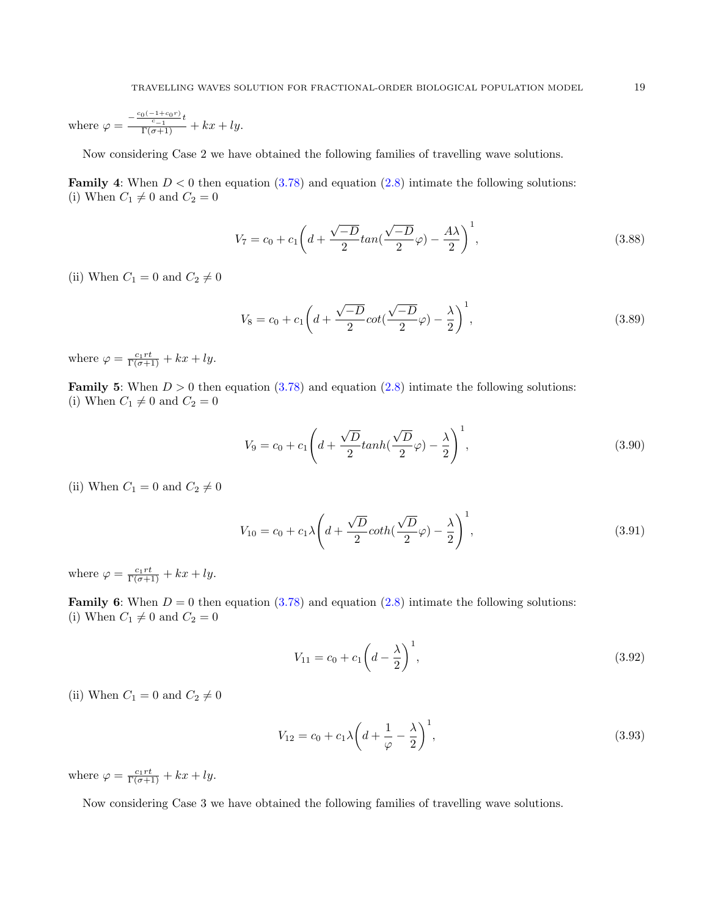where 
$$
\varphi = \frac{-\frac{c_0(-1+c_0r)}{c-1}t}{\Gamma(\sigma+1)} + kx + ly.
$$

Now considering Case 2 we have obtained the following families of travelling wave solutions.

**Family 4:** When  $D < 0$  then equation  $(3.78)$  and equation  $(2.8)$  intimate the following solutions: (i) When  $C_1 \neq 0$  and  $C_2 = 0$ 

$$
V_7 = c_0 + c_1 \left( d + \frac{\sqrt{-D}}{2} \tan\left(\frac{\sqrt{-D}}{2}\varphi\right) - \frac{A\lambda}{2} \right)^1, \tag{3.88}
$$

(ii) When  $C_1 = 0$  and  $C_2 \neq 0$ 

$$
V_8 = c_0 + c_1 \left( d + \frac{\sqrt{-D}}{2} \cot\left(\frac{\sqrt{-D}}{2}\varphi\right) - \frac{\lambda}{2} \right)^1, \tag{3.89}
$$

where  $\varphi = \frac{c_1 r t}{\Gamma(\sigma + 1)} + kx + ly$ .

**Family 5:** When  $D > 0$  then equation  $(3.78)$  and equation  $(2.8)$  intimate the following solutions: (i) When  $C_1 \neq 0$  and  $C_2 = 0$ 

$$
V_9 = c_0 + c_1 \left( d + \frac{\sqrt{D}}{2} \tanh\left(\frac{\sqrt{D}}{2}\varphi\right) - \frac{\lambda}{2} \right)^1,\tag{3.90}
$$

(ii) When  $C_1 = 0$  and  $C_2 \neq 0$ 

$$
V_{10} = c_0 + c_1 \lambda \left( d + \frac{\sqrt{D}}{2} \coth\left(\frac{\sqrt{D}}{2}\varphi\right) - \frac{\lambda}{2} \right)^1,\tag{3.91}
$$

where  $\varphi = \frac{c_1 r t}{\Gamma(\sigma + 1)} + kx + ly$ .

**Family 6:** When  $D = 0$  then equation [\(3.78\)](#page-16-0) and equation [\(2.8\)](#page-4-1) intimate the following solutions: (i) When  $C_1 \neq 0$  and  $C_2 = 0$ 

$$
V_{11} = c_0 + c_1 \left( d - \frac{\lambda}{2} \right)^1,\tag{3.92}
$$

(ii) When 
$$
C_1 = 0
$$
 and  $C_2 \neq 0$ 

$$
V_{12} = c_0 + c_1 \lambda \left( d + \frac{1}{\varphi} - \frac{\lambda}{2} \right)^1,\tag{3.93}
$$

where  $\varphi = \frac{c_1 r t}{\Gamma(\sigma + 1)} + kx + ly$ .

Now considering Case 3 we have obtained the following families of travelling wave solutions.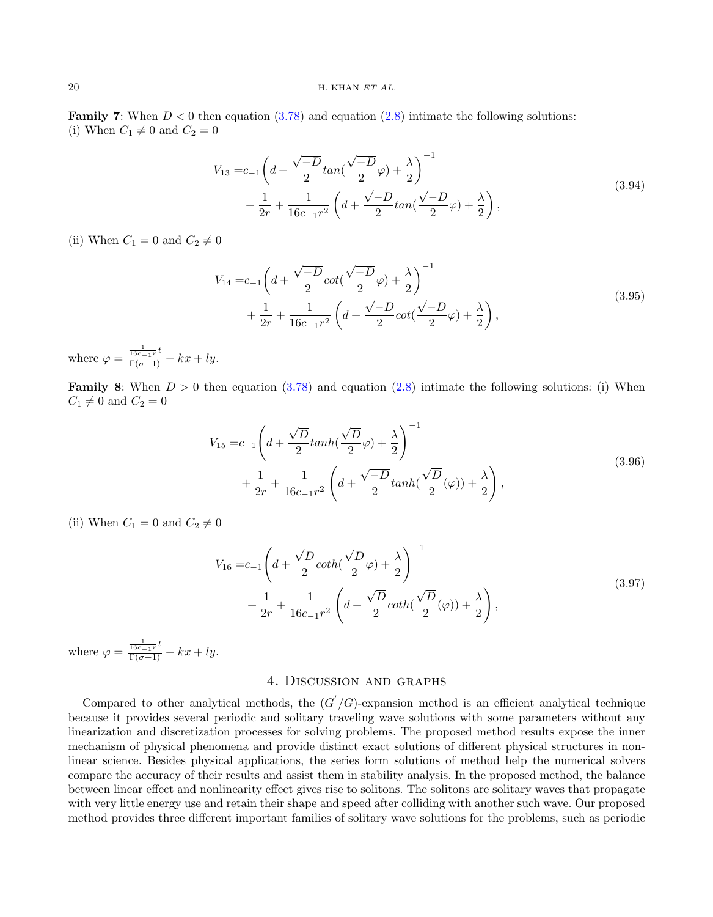**Family 7:** When  $D < 0$  then equation  $(3.78)$  and equation  $(2.8)$  intimate the following solutions: (i) When  $C_1 \neq 0$  and  $C_2 = 0$ 

$$
V_{13} = c_{-1} \left( d + \frac{\sqrt{-D}}{2} \tan\left(\frac{\sqrt{-D}}{2}\varphi\right) + \frac{\lambda}{2} \right)^{-1} + \frac{1}{2r} + \frac{1}{16c_{-1}r^2} \left( d + \frac{\sqrt{-D}}{2} \tan\left(\frac{\sqrt{-D}}{2}\varphi\right) + \frac{\lambda}{2} \right),
$$
\n(3.94)

(ii) When  $C_1 = 0$  and  $C_2 \neq 0$ 

$$
V_{14} = c_{-1} \left( d + \frac{\sqrt{-D}}{2} \cot\left(\frac{\sqrt{-D}}{2}\varphi\right) + \frac{\lambda}{2} \right)^{-1} + \frac{1}{2r} + \frac{1}{16c_{-1}r^2} \left( d + \frac{\sqrt{-D}}{2} \cot\left(\frac{\sqrt{-D}}{2}\varphi\right) + \frac{\lambda}{2} \right),
$$
\n(3.95)

where  $\varphi = \frac{\frac{1}{16c-1r}t}{\Gamma(\sigma+1)} + kx + ly.$ 

**Family 8:** When  $D > 0$  then equation [\(3.78\)](#page-16-0) and equation [\(2.8\)](#page-4-1) intimate the following solutions: (i) When  $C_1 \neq 0$  and  $C_2 = 0$ 

$$
V_{15} = c_{-1} \left( d + \frac{\sqrt{D}}{2} \tanh(\frac{\sqrt{D}}{2} \varphi) + \frac{\lambda}{2} \right)^{-1} + \frac{1}{2r} + \frac{1}{16c_{-1}r^{2}} \left( d + \frac{\sqrt{-D}}{2} \tanh(\frac{\sqrt{D}}{2} (\varphi)) + \frac{\lambda}{2} \right),
$$
\n(3.96)

(ii) When  $C_1 = 0$  and  $C_2 \neq 0$ 

$$
V_{16} = c_{-1} \left( d + \frac{\sqrt{D}}{2} \coth(\frac{\sqrt{D}}{2}\varphi) + \frac{\lambda}{2} \right)^{-1} + \frac{1}{2r} + \frac{1}{16c_{-1}r^{2}} \left( d + \frac{\sqrt{D}}{2} \coth(\frac{\sqrt{D}}{2}(\varphi)) + \frac{\lambda}{2} \right),
$$
\n(3.97)

where  $\varphi = \frac{\frac{1}{16c-1r}t}{\Gamma(\sigma+1)} + kx + ly.$ 

# 4. Discussion and graphs

<span id="page-19-0"></span>Compared to other analytical methods, the  $(G'/G)$ -expansion method is an efficient analytical technique because it provides several periodic and solitary traveling wave solutions with some parameters without any linearization and discretization processes for solving problems. The proposed method results expose the inner mechanism of physical phenomena and provide distinct exact solutions of different physical structures in nonlinear science. Besides physical applications, the series form solutions of method help the numerical solvers compare the accuracy of their results and assist them in stability analysis. In the proposed method, the balance between linear effect and nonlinearity effect gives rise to solitons. The solitons are solitary waves that propagate with very little energy use and retain their shape and speed after colliding with another such wave. Our proposed method provides three different important families of solitary wave solutions for the problems, such as periodic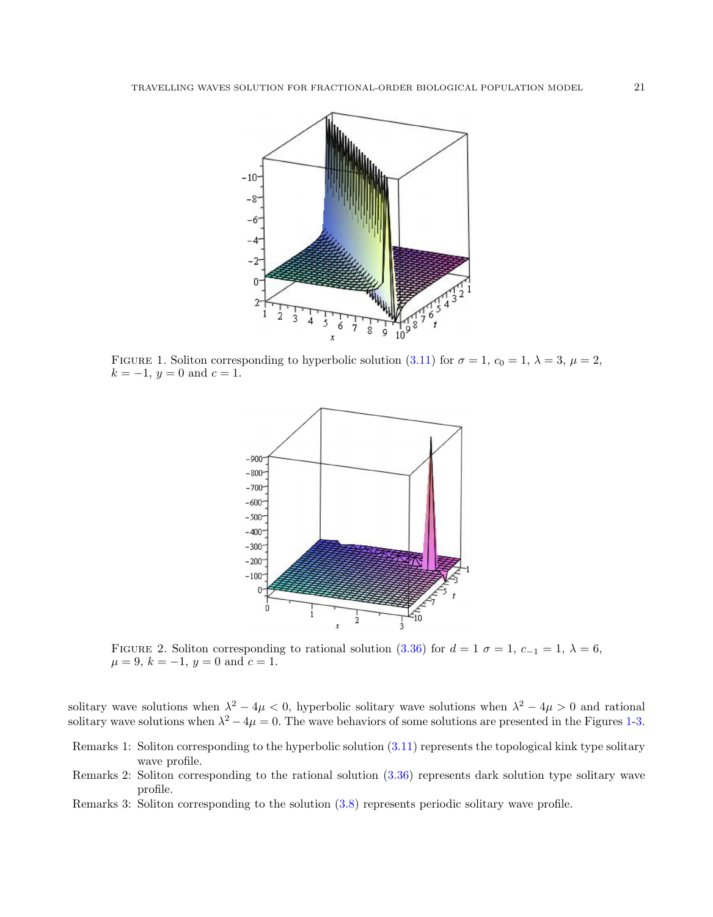

<span id="page-20-0"></span>FIGURE 1. Soliton corresponding to hyperbolic solution [\(3.11\)](#page-5-0) for  $\sigma = 1$ ,  $c_0 = 1$ ,  $\lambda = 3$ ,  $\mu = 2$ ,  $k = -1$ ,  $y = 0$  and  $c = 1$ .



FIGURE 2. Soliton corresponding to rational solution [\(3.36\)](#page-9-0) for  $d = 1$   $\sigma = 1$ ,  $c_{-1} = 1$ ,  $\lambda = 6$ ,  $\mu = 9, k = -1, y = 0 \text{ and } c = 1.$ 

solitary wave solutions when  $\lambda^2 - 4\mu < 0$ , hyperbolic solitary wave solutions when  $\lambda^2 - 4\mu > 0$  and rational solitary wave solutions when  $\lambda^2 - 4\mu = 0$ . The wave behaviors of some solutions are presented in the Figures [1-](#page-20-0)[3.](#page-21-0)

- Remarks 1: Soliton corresponding to the hyperbolic solution [\(3.11\)](#page-5-0) represents the topological kink type solitary wave profile.
- Remarks 2: Soliton corresponding to the rational solution [\(3.36\)](#page-9-0) represents dark solution type solitary wave profile.
- Remarks 3: Soliton corresponding to the solution [\(3.8\)](#page-5-1) represents periodic solitary wave profile.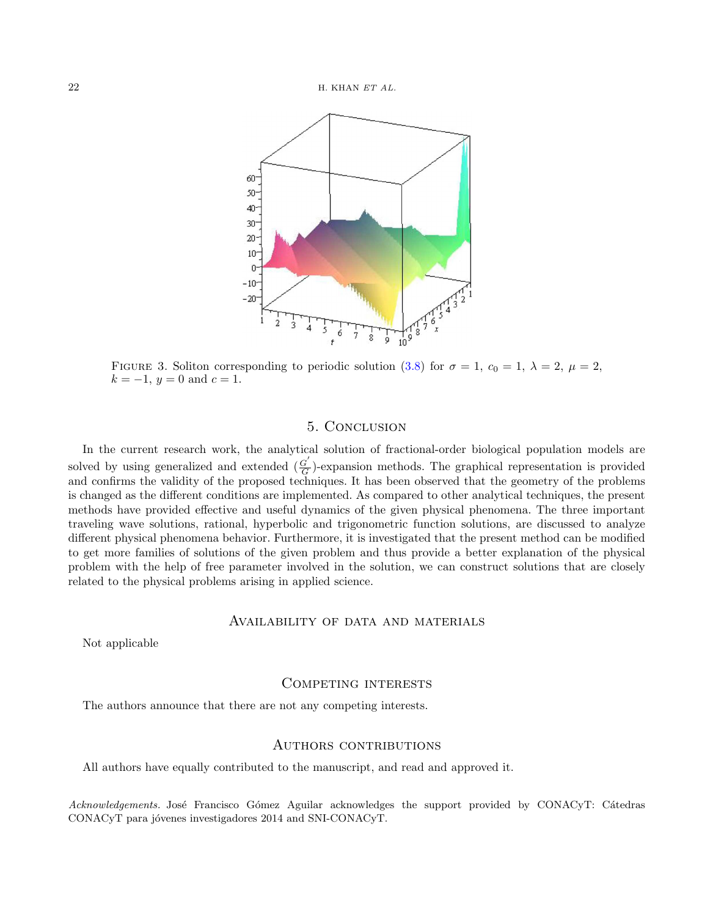

<span id="page-21-0"></span>FIGURE 3. Soliton corresponding to periodic solution [\(3.8\)](#page-5-1) for  $\sigma = 1$ ,  $c_0 = 1$ ,  $\lambda = 2$ ,  $\mu = 2$ ,  $k = -1$ ,  $y = 0$  and  $c = 1$ .

# 5. Conclusion

In the current research work, the analytical solution of fractional-order biological population models are solved by using generalized and extended  $\left(\frac{G'}{G}\right)$  $\frac{G}{G}$ )-expansion methods. The graphical representation is provided and confirms the validity of the proposed techniques. It has been observed that the geometry of the problems is changed as the different conditions are implemented. As compared to other analytical techniques, the present methods have provided effective and useful dynamics of the given physical phenomena. The three important traveling wave solutions, rational, hyperbolic and trigonometric function solutions, are discussed to analyze different physical phenomena behavior. Furthermore, it is investigated that the present method can be modified to get more families of solutions of the given problem and thus provide a better explanation of the physical problem with the help of free parameter involved in the solution, we can construct solutions that are closely related to the physical problems arising in applied science.

## Availability of data and materials

Not applicable

#### Competing interests

The authors announce that there are not any competing interests.

#### AUTHORS CONTRIBUTIONS

All authors have equally contributed to the manuscript, and read and approved it.

Acknowledgements. José Francisco Gómez Aguilar acknowledges the support provided by CONACyT: Cátedras CONACyT para jóvenes investigadores 2014 and SNI-CONACyT.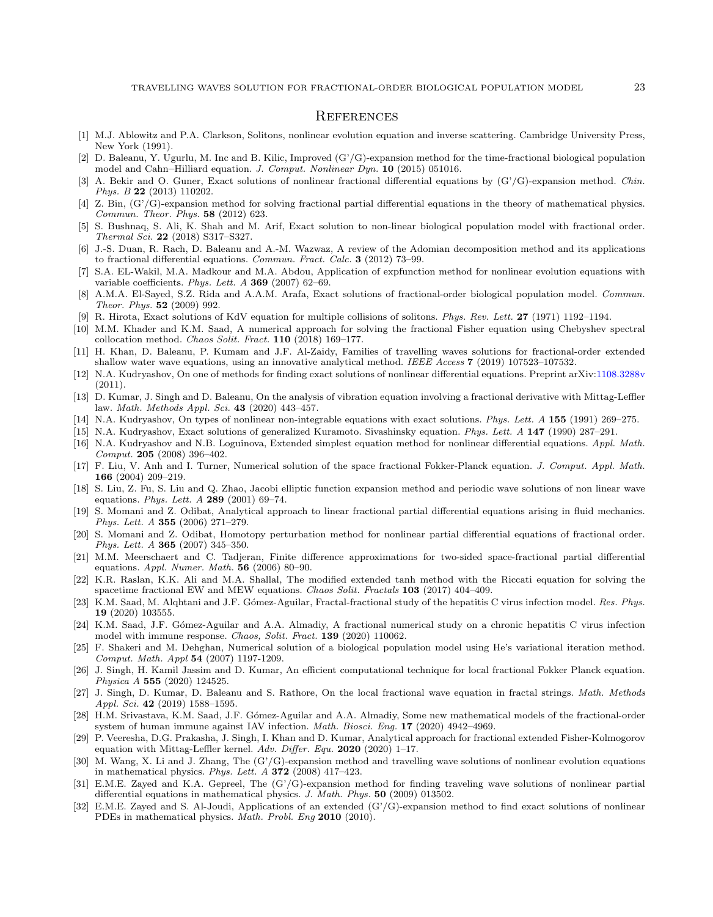#### **REFERENCES**

- <span id="page-22-12"></span>[1] M.J. Ablowitz and P.A. Clarkson, Solitons, nonlinear evolution equation and inverse scattering. Cambridge University Press, New York (1991).
- [2] D. Baleanu, Y. Ugurlu, M. Inc and B. Kilic, Improved (G'/G)-expansion method for the time-fractional biological population model and Cahn–Hilliard equation. J. Comput. Nonlinear Dyn. 10 (2015) 051016.
- [3] A. Bekir and O. Guner, Exact solutions of nonlinear fractional differential equations by (G'/G)-expansion method. Chin. Phys. B 22 (2013) 110202.
- <span id="page-22-21"></span>[4] Z. Bin, (G'/G)-expansion method for solving fractional partial differential equations in the theory of mathematical physics. Commun. Theor. Phys. 58 (2012) 623.
- [5] S. Bushnaq, S. Ali, K. Shah and M. Arif, Exact solution to non-linear biological population model with fractional order. Thermal Sci. 22 (2018) S317–S327.
- <span id="page-22-18"></span>[6] J.-S. Duan, R. Rach, D. Baleanu and A.-M. Wazwaz, A review of the Adomian decomposition method and its applications to fractional differential equations. Commun. Fract. Calc. 3 (2012) 73–99.
- <span id="page-22-14"></span>[7] S.A. EL-Wakil, M.A. Madkour and M.A. Abdou, Application of expfunction method for nonlinear evolution equations with variable coefficients. Phys. Lett. A 369 (2007) 62–69.
- [8] A.M.A. El-Sayed, S.Z. Rida and A.A.M. Arafa, Exact solutions of fractional-order biological population model. Commun. Theor. Phys. 52 (2009) 992.
- <span id="page-22-11"></span>[9] R. Hirota, Exact solutions of KdV equation for multiple collisions of solitons. Phys. Rev. Lett. 27 (1971) 1192–1194.
- <span id="page-22-0"></span>[10] M.M. Khader and K.M. Saad, A numerical approach for solving the fractional Fisher equation using Chebyshev spectral collocation method. Chaos Solit. Fract. 110 (2018) 169–177.
- [11] H. Khan, D. Baleanu, P. Kumam and J.F. Al-Zaidy, Families of travelling waves solutions for fractional-order extended shallow water wave equations, using an innovative analytical method. IEEE Access 7 (2019) 107523–107532.
- <span id="page-22-20"></span>[12] N.A. Kudryashov, On one of methods for finding exact solutions of nonlinear differential equations. Preprint arXiv[:1108.3288v](https://arxiv.org/abs/1108.3288v) (2011).
- <span id="page-22-4"></span>[13] D. Kumar, J. Singh and D. Baleanu, On the analysis of vibration equation involving a fractional derivative with Mittag-Leffler law. Math. Methods Appl. Sci. 43 (2020) 443–457.
- <span id="page-22-13"></span>[14] N.A. Kudryashov, On types of nonlinear non-integrable equations with exact solutions. Phys. Lett. A 155 (1991) 269–275.
- <span id="page-22-15"></span>[15] N.A. Kudryashov, Exact solutions of generalized Kuramoto. Sivashinsky equation. Phys. Lett. A 147 (1990) 287–291.
- <span id="page-22-16"></span>[16] N.A. Kudryashov and N.B. Loguinova, Extended simplest equation method for nonlinear differential equations. Appl. Math. Comput. 205 (2008) 396–402.
- <span id="page-22-5"></span>[17] F. Liu, V. Anh and I. Turner, Numerical solution of the space fractional Fokker-Planck equation. J. Comput. Appl. Math. 166 (2004) 209–219.
- <span id="page-22-17"></span>[18] S. Liu, Z. Fu, S. Liu and Q. Zhao, Jacobi elliptic function expansion method and periodic wave solutions of non linear wave equations. *Phys. Lett.*  $A$  **289** (2001) 69–74.
- <span id="page-22-6"></span>[19] S. Momani and Z. Odibat, Analytical approach to linear fractional partial differential equations arising in fluid mechanics. Phys. Lett. A 355 (2006) 271–279.
- [20] S. Momani and Z. Odibat, Homotopy perturbation method for nonlinear partial differential equations of fractional order. Phys. Lett. A 365 (2007) 345–350.
- <span id="page-22-7"></span>[21] M.M. Meerschaert and C. Tadjeran, Finite difference approximations for two-sided space-fractional partial differential equations. Appl. Numer. Math. 56 (2006) 80–90.
- <span id="page-22-19"></span>[22] K.R. Raslan, K.K. Ali and M.A. Shallal, The modified extended tanh method with the Riccati equation for solving the spacetime fractional EW and MEW equations. Chaos Solit. Fractals 103 (2017) 404-409.
- <span id="page-22-1"></span>[23] K.M. Saad, M. Alghtani and J.F. Gómez-Aguilar, Fractal-fractional study of the hepatitis C virus infection model. Res. Phys. 19 (2020) 103555.
- <span id="page-22-2"></span>[24] K.M. Saad, J.F. Gómez-Aguilar and A.A. Almadiy, A fractional numerical study on a chronic hepatitis C virus infection model with immune response. Chaos, Solit. Fract. 139 (2020) 110062.
- [25] F. Shakeri and M. Dehghan, Numerical solution of a biological population model using He's variational iteration method. Comput. Math. Appl 54 (2007) 1197-1209.
- <span id="page-22-8"></span>[26] J. Singh, H. Kamil Jassim and D. Kumar, An efficient computational technique for local fractional Fokker Planck equation. Physica A 555 (2020) 124525.
- <span id="page-22-9"></span>[27] J. Singh, D. Kumar, D. Baleanu and S. Rathore, On the local fractional wave equation in fractal strings. Math. Methods Appl. Sci. 42 (2019) 1588–1595.
- <span id="page-22-3"></span>[28] H.M. Srivastava, K.M. Saad, J.F. Gómez-Aguilar and A.A. Almadiy, Some new mathematical models of the fractional-order system of human immune against IAV infection. Math. Biosci. Eng. 17 (2020) 4942–4969.
- <span id="page-22-10"></span>[29] P. Veeresha, D.G. Prakasha, J. Singh, I. Khan and D. Kumar, Analytical approach for fractional extended Fisher-Kolmogorov equation with Mittag-Leffler kernel. Adv. Differ. Equ. 2020 (2020) 1–17.
- [30] M. Wang, X. Li and J. Zhang, The (G'/G)-expansion method and travelling wave solutions of nonlinear evolution equations in mathematical physics. Phys. Lett. A 372 (2008) 417–423.
- <span id="page-22-22"></span>[31] E.M.E. Zayed and K.A. Gepreel, The (G'/G)-expansion method for finding traveling wave solutions of nonlinear partial differential equations in mathematical physics. J. Math. Phys. 50 (2009) 013502.
- <span id="page-22-23"></span>[32] E.M.E. Zayed and S. Al-Joudi, Applications of an extended (G'/G)-expansion method to find exact solutions of nonlinear PDEs in mathematical physics. Math. Probl. Eng 2010 (2010).